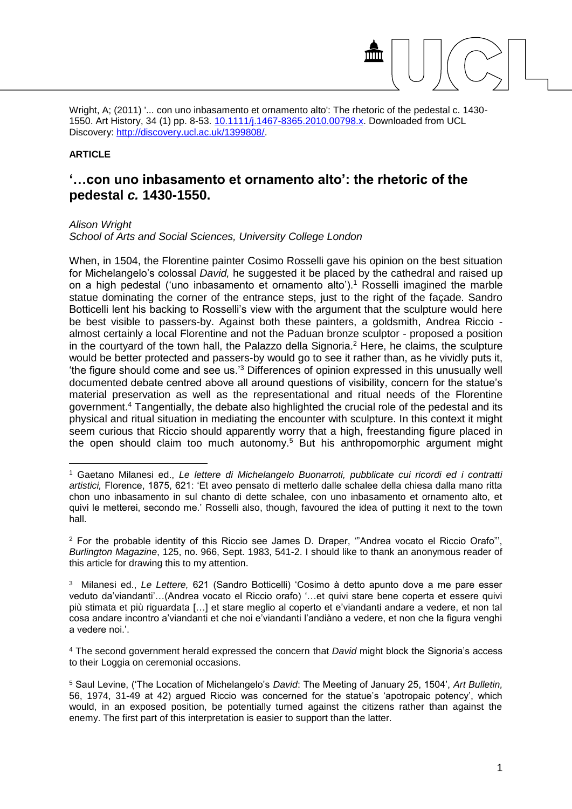Wright, A; (2011) '... con uno inbasamento et ornamento alto': The rhetoric of the pedestal c. 1430-1550. Art History, 34 (1) pp. 8-53. [10.1111/j.1467-8365.2010.00798.x.](http://dx.doi.org/10.1111/j.1467-8365.2010.00798.x) Downloaded from UCL Discovery: [http://discovery.ucl.ac.uk/1399808/.](http://discovery.ucl.ac.uk/1399808/)

## **ARTICLE**

# **'…con uno inbasamento et ornamento alto': the rhetoric of the pedestal** *c.* **1430-1550.**

#### *Alison Wright*

1

*School of Arts and Social Sciences, University College London*

When, in 1504, the Florentine painter Cosimo Rosselli gave his opinion on the best situation for Michelangelo's colossal *David,* he suggested it be placed by the cathedral and raised up on a high pedestal ('uno inbasamento et ornamento alto').<sup>1</sup> Rosselli imagined the marble statue dominating the corner of the entrance steps, just to the right of the façade. Sandro Botticelli lent his backing to Rosselli's view with the argument that the sculpture would here be best visible to passers-by. Against both these painters, a goldsmith, Andrea Riccio almost certainly a local Florentine and not the Paduan bronze sculptor - proposed a position in the courtyard of the town hall, the Palazzo della Signoria.<sup>2</sup> Here, he claims, the sculpture would be better protected and passers-by would go to see it rather than, as he vividly puts it, 'the figure should come and see us.'<sup>3</sup> Differences of opinion expressed in this unusually well documented debate centred above all around questions of visibility, concern for the statue's material preservation as well as the representational and ritual needs of the Florentine government.<sup>4</sup> Tangentially, the debate also highlighted the crucial role of the pedestal and its physical and ritual situation in mediating the encounter with sculpture. In this context it might seem curious that Riccio should apparently worry that a high, freestanding figure placed in the open should claim too much autonomy.<sup>5</sup> But his anthropomorphic argument might

<sup>2</sup> For the probable identity of this Riccio see James D. Draper, '"Andrea vocato el Riccio Orafo"', *Burlington Magazine*, 125, no. 966, Sept. 1983, 541-2. I should like to thank an anonymous reader of this article for drawing this to my attention.

<sup>4</sup> The second government herald expressed the concern that *David* might block the Signoria's access to their Loggia on ceremonial occasions.

<sup>1</sup> Gaetano Milanesi ed., *Le lettere di Michelangelo Buonarroti, pubblicate cui ricordi ed i contratti artistici,* Florence, 1875, 621: 'Et aveo pensato di metterlo dalle schalee della chiesa dalla mano ritta chon uno inbasamento in sul chanto di dette schalee, con uno inbasamento et ornamento alto, et quivi le metterei, secondo me.' Rosselli also, though, favoured the idea of putting it next to the town hall.

<sup>3</sup> Milanesi ed., *Le Lettere,* 621 (Sandro Botticelli) 'Cosimo à detto apunto dove a me pare esser veduto da'viandanti'…(Andrea vocato el Riccio orafo) '…et quivi stare bene coperta et essere quivi più stimata et più riguardata […] et stare meglio al coperto et e'viandanti andare a vedere, et non tal cosa andare incontro a'viandanti et che noi e'viandanti l'andiàno a vedere, et non che la figura venghi a vedere noi.'.

<sup>5</sup> Saul Levine, ('The Location of Michelangelo's *David*: The Meeting of January 25, 1504', *Art Bulletin,*  56, 1974, 31-49 at 42) argued Riccio was concerned for the statue's 'apotropaic potency', which would, in an exposed position, be potentially turned against the citizens rather than against the enemy. The first part of this interpretation is easier to support than the latter.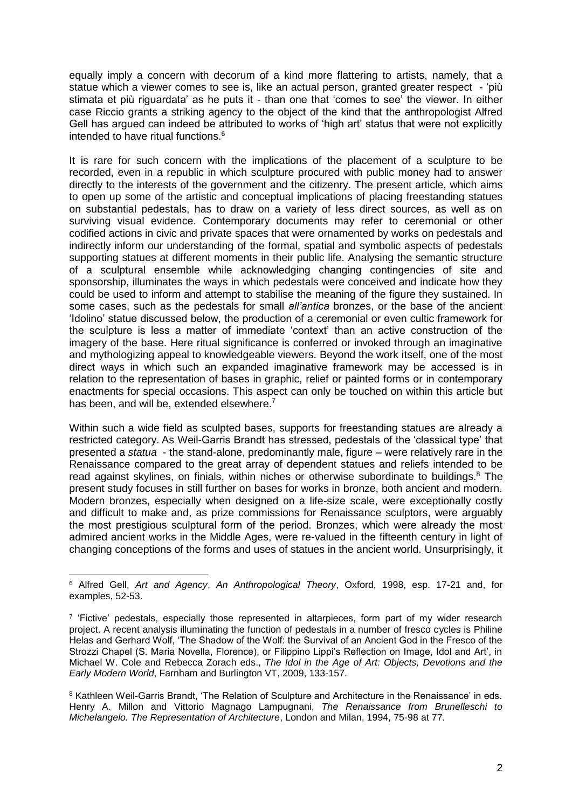equally imply a concern with decorum of a kind more flattering to artists, namely, that a statue which a viewer comes to see is, like an actual person, granted greater respect - 'più stimata et più riguardata' as he puts it - than one that 'comes to see' the viewer. In either case Riccio grants a striking agency to the object of the kind that the anthropologist Alfred Gell has argued can indeed be attributed to works of 'high art' status that were not explicitly intended to have ritual functions.<sup>6</sup>

It is rare for such concern with the implications of the placement of a sculpture to be recorded, even in a republic in which sculpture procured with public money had to answer directly to the interests of the government and the citizenry. The present article, which aims to open up some of the artistic and conceptual implications of placing freestanding statues on substantial pedestals, has to draw on a variety of less direct sources, as well as on surviving visual evidence. Contemporary documents may refer to ceremonial or other codified actions in civic and private spaces that were ornamented by works on pedestals and indirectly inform our understanding of the formal, spatial and symbolic aspects of pedestals supporting statues at different moments in their public life. Analysing the semantic structure of a sculptural ensemble while acknowledging changing contingencies of site and sponsorship, illuminates the ways in which pedestals were conceived and indicate how they could be used to inform and attempt to stabilise the meaning of the figure they sustained. In some cases, such as the pedestals for small *all'antica* bronzes, or the base of the ancient 'Idolino' statue discussed below, the production of a ceremonial or even cultic framework for the sculpture is less a matter of immediate 'context' than an active construction of the imagery of the base. Here ritual significance is conferred or invoked through an imaginative and mythologizing appeal to knowledgeable viewers. Beyond the work itself, one of the most direct ways in which such an expanded imaginative framework may be accessed is in relation to the representation of bases in graphic, relief or painted forms or in contemporary enactments for special occasions. This aspect can only be touched on within this article but has been, and will be, extended elsewhere.<sup>7</sup>

Within such a wide field as sculpted bases, supports for freestanding statues are already a restricted category. As Weil-Garris Brandt has stressed, pedestals of the 'classical type' that presented a *statua* - the stand-alone, predominantly male, figure – were relatively rare in the Renaissance compared to the great array of dependent statues and reliefs intended to be read against skylines, on finials, within niches or otherwise subordinate to buildings.<sup>8</sup> The present study focuses in still further on bases for works in bronze, both ancient and modern. Modern bronzes, especially when designed on a life-size scale, were exceptionally costly and difficult to make and, as prize commissions for Renaissance sculptors, were arguably the most prestigious sculptural form of the period. Bronzes, which were already the most admired ancient works in the Middle Ages, were re-valued in the fifteenth century in light of changing conceptions of the forms and uses of statues in the ancient world. Unsurprisingly, it

<sup>6</sup> Alfred Gell, *Art and Agency*, *An Anthropological Theory*, Oxford, 1998, esp. 17-21 and, for examples, 52-53.

<sup>&</sup>lt;sup>7</sup> 'Fictive' pedestals, especially those represented in altarpieces, form part of my wider research project. A recent analysis illuminating the function of pedestals in a number of fresco cycles is Philine Helas and Gerhard Wolf, 'The Shadow of the Wolf: the Survival of an Ancient God in the Fresco of the Strozzi Chapel (S. Maria Novella, Florence), or Filippino Lippi's Reflection on Image, Idol and Art', in Michael W. Cole and Rebecca Zorach eds., *The Idol in the Age of Art: Objects, Devotions and the Early Modern World*, Farnham and Burlington VT, 2009, 133-157.

<sup>8</sup> Kathleen Weil-Garris Brandt, 'The Relation of Sculpture and Architecture in the Renaissance' in eds. Henry A. Millon and Vittorio Magnago Lampugnani, *The Renaissance from Brunelleschi to Michelangelo. The Representation of Architecture*, London and Milan, 1994, 75-98 at 77.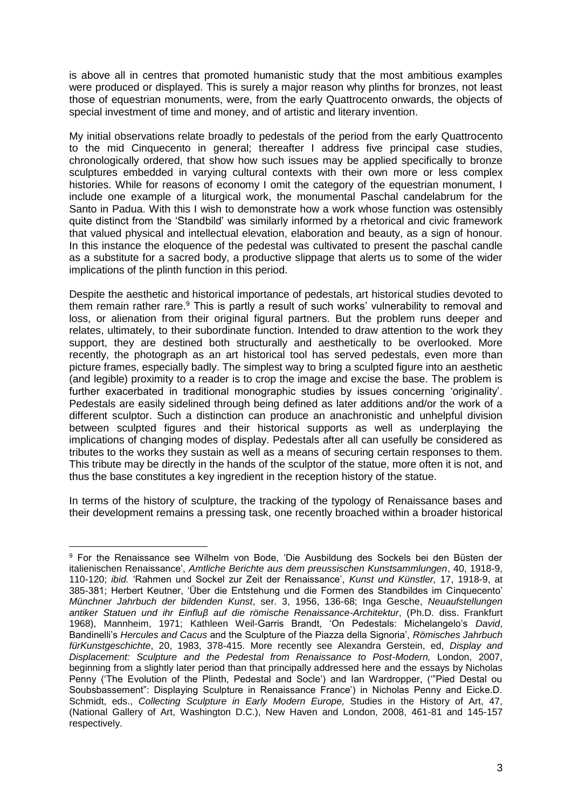is above all in centres that promoted humanistic study that the most ambitious examples were produced or displayed. This is surely a major reason why plinths for bronzes, not least those of equestrian monuments, were, from the early Quattrocento onwards, the objects of special investment of time and money, and of artistic and literary invention.

My initial observations relate broadly to pedestals of the period from the early Quattrocento to the mid Cinquecento in general; thereafter I address five principal case studies, chronologically ordered, that show how such issues may be applied specifically to bronze sculptures embedded in varying cultural contexts with their own more or less complex histories. While for reasons of economy I omit the category of the equestrian monument, I include one example of a liturgical work, the monumental Paschal candelabrum for the Santo in Padua. With this I wish to demonstrate how a work whose function was ostensibly quite distinct from the 'Standbild' was similarly informed by a rhetorical and civic framework that valued physical and intellectual elevation, elaboration and beauty, as a sign of honour. In this instance the eloquence of the pedestal was cultivated to present the paschal candle as a substitute for a sacred body, a productive slippage that alerts us to some of the wider implications of the plinth function in this period.

Despite the aesthetic and historical importance of pedestals, art historical studies devoted to them remain rather rare. $9$  This is partly a result of such works' vulnerability to removal and loss, or alienation from their original figural partners. But the problem runs deeper and relates, ultimately, to their subordinate function. Intended to draw attention to the work they support, they are destined both structurally and aesthetically to be overlooked. More recently, the photograph as an art historical tool has served pedestals, even more than picture frames, especially badly. The simplest way to bring a sculpted figure into an aesthetic (and legible) proximity to a reader is to crop the image and excise the base. The problem is further exacerbated in traditional monographic studies by issues concerning 'originality'. Pedestals are easily sidelined through being defined as later additions and/or the work of a different sculptor. Such a distinction can produce an anachronistic and unhelpful division between sculpted figures and their historical supports as well as underplaying the implications of changing modes of display. Pedestals after all can usefully be considered as tributes to the works they sustain as well as a means of securing certain responses to them. This tribute may be directly in the hands of the sculptor of the statue, more often it is not, and thus the base constitutes a key ingredient in the reception history of the statue.

In terms of the history of sculpture, the tracking of the typology of Renaissance bases and their development remains a pressing task, one recently broached within a broader historical

<sup>9</sup> For the Renaissance see Wilhelm von Bode, 'Die Ausbildung des Sockels bei den Büsten der italienischen Renaissance', *Amtliche Berichte aus dem preussischen Kunstsammlungen*, 40, 1918-9, 110-120; *ibid.* 'Rahmen und Sockel zur Zeit der Renaissance', *Kunst und Künstler,* 17, 1918-9, at 385-381; Herbert Keutner, 'Über die Entstehung und die Formen des Standbildes im Cinquecento' *Münchner Jahrbuch der bildenden Kunst*, ser. 3, 1956, 136-68; Inga Gesche, *Neuaufstellungen antiker Statuen und ihr Einfluβ auf die römische Renaissance-Architektur*, (Ph.D. diss. Frankfurt 1968), Mannheim, 1971; Kathleen Weil-Garris Brandt, 'On Pedestals: Michelangelo's *David*, Bandinelli's *Hercules and Cacus* and the Sculpture of the Piazza della Signoria', *Römisches Jahrbuch fürKunstgeschichte*, 20, 1983, 378-415. More recently see Alexandra Gerstein, ed, *Display and Displacement: Sculpture and the Pedestal from Renaissance to Post-Modern,* London, 2007, beginning from a slightly later period than that principally addressed here and the essays by Nicholas Penny ('The Evolution of the Plinth, Pedestal and Socle') and Ian Wardropper, ('"Pied Destal ou Soubsbassement": Displaying Sculpture in Renaissance France') in Nicholas Penny and Eicke.D. Schmidt, eds., *Collecting Sculpture in Early Modern Europe,* Studies in the History of Art, 47, (National Gallery of Art, Washington D.C.), New Haven and London, 2008, 461-81 and 145-157 respectively.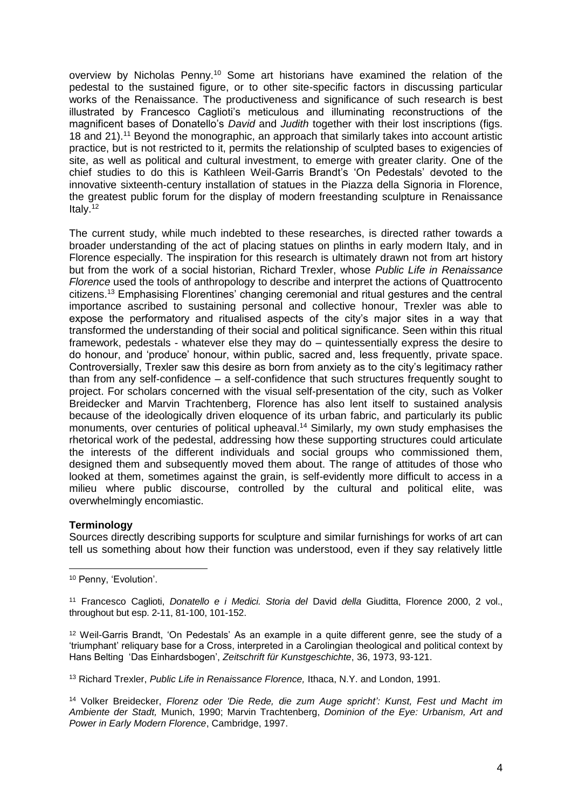overview by Nicholas Penny.<sup>10</sup> Some art historians have examined the relation of the pedestal to the sustained figure, or to other site-specific factors in discussing particular works of the Renaissance. The productiveness and significance of such research is best illustrated by Francesco Caglioti's meticulous and illuminating reconstructions of the magnificent bases of Donatello's *David* and *Judith* together with their lost inscriptions (figs. 18 and 21).<sup>11</sup> Beyond the monographic, an approach that similarly takes into account artistic practice, but is not restricted to it, permits the relationship of sculpted bases to exigencies of site, as well as political and cultural investment, to emerge with greater clarity. One of the chief studies to do this is Kathleen Weil-Garris Brandt's 'On Pedestals' devoted to the innovative sixteenth-century installation of statues in the Piazza della Signoria in Florence, the greatest public forum for the display of modern freestanding sculpture in Renaissance Italy. $12$ 

The current study, while much indebted to these researches, is directed rather towards a broader understanding of the act of placing statues on plinths in early modern Italy, and in Florence especially. The inspiration for this research is ultimately drawn not from art history but from the work of a social historian, Richard Trexler, whose *Public Life in Renaissance Florence* used the tools of anthropology to describe and interpret the actions of Quattrocento citizens.<sup>13</sup> Emphasising Florentines' changing ceremonial and ritual gestures and the central importance ascribed to sustaining personal and collective honour, Trexler was able to expose the performatory and ritualised aspects of the city's major sites in a way that transformed the understanding of their social and political significance. Seen within this ritual framework, pedestals - whatever else they may do – quintessentially express the desire to do honour, and 'produce' honour, within public, sacred and, less frequently, private space. Controversially, Trexler saw this desire as born from anxiety as to the city's legitimacy rather than from any self-confidence – a self-confidence that such structures frequently sought to project. For scholars concerned with the visual self-presentation of the city, such as Volker Breidecker and Marvin Trachtenberg, Florence has also lent itself to sustained analysis because of the ideologically driven eloquence of its urban fabric, and particularly its public monuments, over centuries of political upheaval.<sup>14</sup> Similarly, my own study emphasises the rhetorical work of the pedestal, addressing how these supporting structures could articulate the interests of the different individuals and social groups who commissioned them, designed them and subsequently moved them about. The range of attitudes of those who looked at them, sometimes against the grain, is self-evidently more difficult to access in a milieu where public discourse, controlled by the cultural and political elite, was overwhelmingly encomiastic.

# **Terminology**

<u>.</u>

Sources directly describing supports for sculpture and similar furnishings for works of art can tell us something about how their function was understood, even if they say relatively little

<sup>10</sup> Penny, 'Evolution'.

<sup>11</sup> Francesco Caglioti, *Donatello e i Medici. Storia del* David *della* Giuditta, Florence 2000, 2 vol., throughout but esp. 2-11, 81-100, 101-152.

<sup>12</sup> Weil-Garris Brandt, 'On Pedestals' As an example in a quite different genre, see the study of a 'triumphant' reliquary base for a Cross, interpreted in a Carolingian theological and political context by Hans Belting 'Das Einhardsbogen', *Zeitschrift für Kunstgeschichte*, 36, 1973, 93-121.

<sup>13</sup> Richard Trexler, *Public Life in Renaissance Florence,* Ithaca, N.Y. and London, 1991.

<sup>14</sup> Volker Breidecker, *Florenz oder 'Die Rede, die zum Auge spricht': Kunst, Fest und Macht im Ambiente der Stadt,* Munich, 1990; Marvin Trachtenberg, *Dominion of the Eye: Urbanism, Art and Power in Early Modern Florence*, Cambridge, 1997.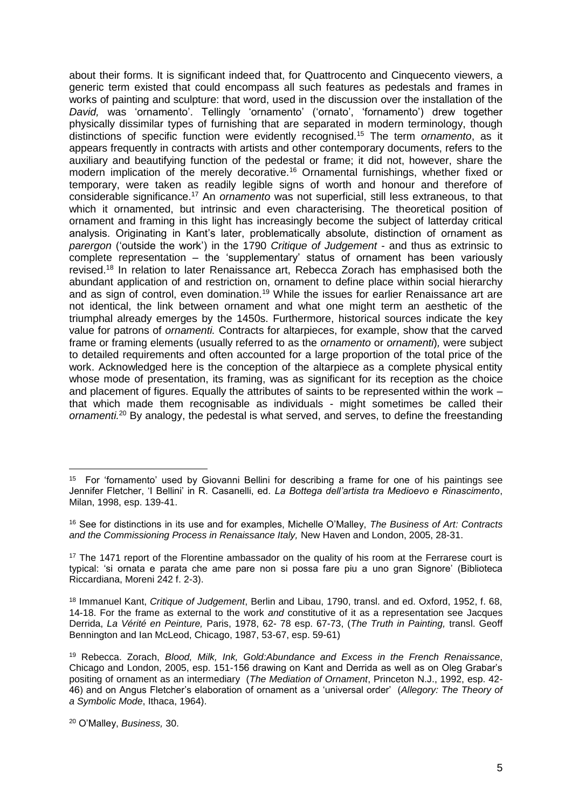about their forms. It is significant indeed that, for Quattrocento and Cinquecento viewers, a generic term existed that could encompass all such features as pedestals and frames in works of painting and sculpture: that word, used in the discussion over the installation of the *David,* was 'ornamento'. Tellingly 'ornamento' ('ornato', 'fornamento') drew together physically dissimilar types of furnishing that are separated in modern terminology, though distinctions of specific function were evidently recognised.<sup>15</sup> The term *ornamento*, as it appears frequently in contracts with artists and other contemporary documents, refers to the auxiliary and beautifying function of the pedestal or frame; it did not, however, share the modern implication of the merely decorative.<sup>16</sup> Ornamental furnishings, whether fixed or temporary, were taken as readily legible signs of worth and honour and therefore of considerable significance.<sup>17</sup> An *ornamento* was not superficial, still less extraneous, to that which it ornamented, but intrinsic and even characterising. The theoretical position of ornament and framing in this light has increasingly become the subject of latterday critical analysis. Originating in Kant's later, problematically absolute, distinction of ornament as *parergon* ('outside the work') in the 1790 *Critique of Judgement* - and thus as extrinsic to complete representation – the 'supplementary' status of ornament has been variously revised.<sup>18</sup> In relation to later Renaissance art, Rebecca Zorach has emphasised both the abundant application of and restriction on, ornament to define place within social hierarchy and as sign of control, even domination.<sup>19</sup> While the issues for earlier Renaissance art are not identical, the link between ornament and what one might term an aesthetic of the triumphal already emerges by the 1450s. Furthermore, historical sources indicate the key value for patrons of *ornamenti.* Contracts for altarpieces, for example, show that the carved frame or framing elements (usually referred to as the *ornamento* or *ornamenti*)*,* were subject to detailed requirements and often accounted for a large proportion of the total price of the work. Acknowledged here is the conception of the altarpiece as a complete physical entity whose mode of presentation, its framing, was as significant for its reception as the choice and placement of figures. Equally the attributes of saints to be represented within the work – that which made them recognisable as individuals - might sometimes be called their *ornamenti.*<sup>20</sup> By analogy, the pedestal is what served, and serves, to define the freestanding

<u>.</u>

<sup>15</sup> For 'fornamento' used by Giovanni Bellini for describing a frame for one of his paintings see Jennifer Fletcher, 'I Bellini' in R. Casanelli, ed. *La Bottega dell'artista tra Medioevo e Rinascimento*, Milan, 1998, esp. 139-41.

<sup>16</sup> See for distinctions in its use and for examples, Michelle O'Malley, *The Business of Art: Contracts and the Commissioning Process in Renaissance Italy,* New Haven and London, 2005, 28-31.

<sup>&</sup>lt;sup>17</sup> The 1471 report of the Florentine ambassador on the quality of his room at the Ferrarese court is typical: 'si ornata e parata che ame pare non si possa fare piu a uno gran Signore' (Biblioteca Riccardiana, Moreni 242 f. 2-3).

<sup>18</sup> Immanuel Kant, *Critique of Judgement*, Berlin and Libau, 1790, transl. and ed. Oxford, 1952, f. 68, 14-18. For the frame as external to the work *and* constitutive of it as a representation see Jacques Derrida, *La Vérité en Peinture,* Paris, 1978, 62- 78 esp. 67-73, (*The Truth in Painting,* transl. Geoff Bennington and Ian McLeod, Chicago, 1987, 53-67, esp. 59-61)

<sup>19</sup> Rebecca. Zorach, *Blood, Milk, Ink, Gold:Abundance and Excess in the French Renaissance*, Chicago and London, 2005, esp. 151-156 drawing on Kant and Derrida as well as on Oleg Grabar's positing of ornament as an intermediary (*The Mediation of Ornament*, Princeton N.J., 1992, esp. 42- 46) and on Angus Fletcher's elaboration of ornament as a 'universal order' (*Allegory: The Theory of a Symbolic Mode*, Ithaca, 1964).

<sup>20</sup> O'Malley, *Business,* 30.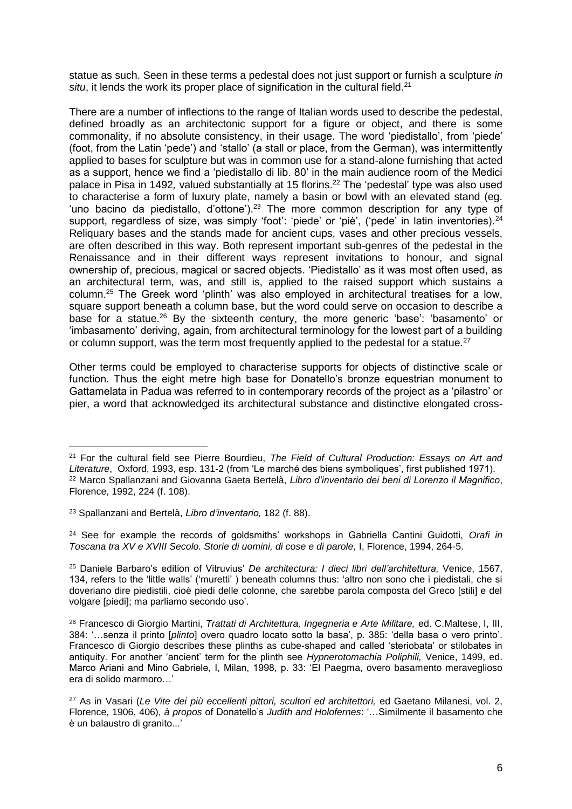statue as such. Seen in these terms a pedestal does not just support or furnish a sculpture *in*  situ, it lends the work its proper place of signification in the cultural field.<sup>21</sup>

There are a number of inflections to the range of Italian words used to describe the pedestal, defined broadly as an architectonic support for a figure or object, and there is some commonality, if no absolute consistency, in their usage. The word 'piedistallo', from 'piede' (foot, from the Latin 'pede') and 'stallo' (a stall or place, from the German), was intermittently applied to bases for sculpture but was in common use for a stand-alone furnishing that acted as a support, hence we find a 'piedistallo di lib. 80' in the main audience room of the Medici palace in Pisa in 1492, valued substantially at 15 florins.<sup>22</sup> The 'pedestal' type was also used to characterise a form of luxury plate, namely a basin or bowl with an elevated stand (eg. 'uno bacino da piedistallo, d'ottone').<sup>23</sup> The more common description for any type of support, regardless of size, was simply 'foot': 'piede' or 'piè', ('pede' in latin inventories).<sup>24</sup> Reliquary bases and the stands made for ancient cups, vases and other precious vessels, are often described in this way. Both represent important sub-genres of the pedestal in the Renaissance and in their different ways represent invitations to honour, and signal ownership of, precious, magical or sacred objects. 'Piedistallo' as it was most often used, as an architectural term, was, and still is, applied to the raised support which sustains a column.<sup>25</sup> The Greek word 'plinth' was also employed in architectural treatises for a low, square support beneath a column base, but the word could serve on occasion to describe a base for a statue.<sup>26</sup> By the sixteenth century, the more generic 'base': 'basamento' or 'imbasamento' deriving, again, from architectural terminology for the lowest part of a building or column support, was the term most frequently applied to the pedestal for a statue.<sup>27</sup>

Other terms could be employed to characterise supports for objects of distinctive scale or function. Thus the eight metre high base for Donatello's bronze equestrian monument to Gattamelata in Padua was referred to in contemporary records of the project as a 'pilastro' or pier, a word that acknowledged its architectural substance and distinctive elongated cross-

1

<sup>24</sup> See for example the records of goldsmiths' workshops in Gabriella Cantini Guidotti, *Orafi in Toscana tra XV e XVIII Secolo. Storie di uomini, di cose e di parole,* I, Florence, 1994, 264-5.

<sup>25</sup> Daniele Barbaro's edition of Vitruvius' *De architectura: I dieci libri dell'architettura,* Venice, 1567, 134, refers to the 'little walls' ('muretti' ) beneath columns thus: 'altro non sono che i piedistali, che si doveriano dire piedistili, cioè piedi delle colonne, che sarebbe parola composta del Greco [stili] e del volgare [piedi]; ma parliamo secondo uso'.

<sup>21</sup> For the cultural field see Pierre Bourdieu, *The Field of Cultural Production: Essays on Art and Literature*, Oxford, 1993, esp. 131-2 (from 'Le marché des biens symboliques', first published 1971). <sup>22</sup> Marco Spallanzani and Giovanna Gaeta Bertelà, *Libro d'inventario dei beni di Lorenzo il Magnifico*, Florence, 1992, 224 (f. 108).

<sup>23</sup> Spallanzani and Bertelà, *Libro d'inventario,* 182 (f. 88).

<sup>&</sup>lt;sup>26</sup> Francesco di Giorgio Martini, *Trattati di Architettura, Ingegneria e Arte Militare, ed. C.Maltese, I, III,* 384: '…senza il printo [*plinto*] overo quadro locato sotto la basa', p. 385: 'della basa o vero printo'. Francesco di Giorgio describes these plinths as cube-shaped and called 'steriobata' or stilobates in antiquity. For another 'ancient' term for the plinth see *Hypnerotomachia Poliphili,* Venice, 1499, ed. Marco Ariani and Mino Gabriele, I, Milan, 1998, p. 33: 'El Paegma, overo basamento meraveglioso era di solido marmoro…'

<sup>27</sup> As in Vasari (*Le Vite dei più eccellenti pittori, scultori ed architettori,* ed Gaetano Milanesi, vol. 2, Florence, 1906, 406), *à propos* of Donatello's *Judith and Holofernes*: '…Similmente il basamento che è un balaustro di granito...'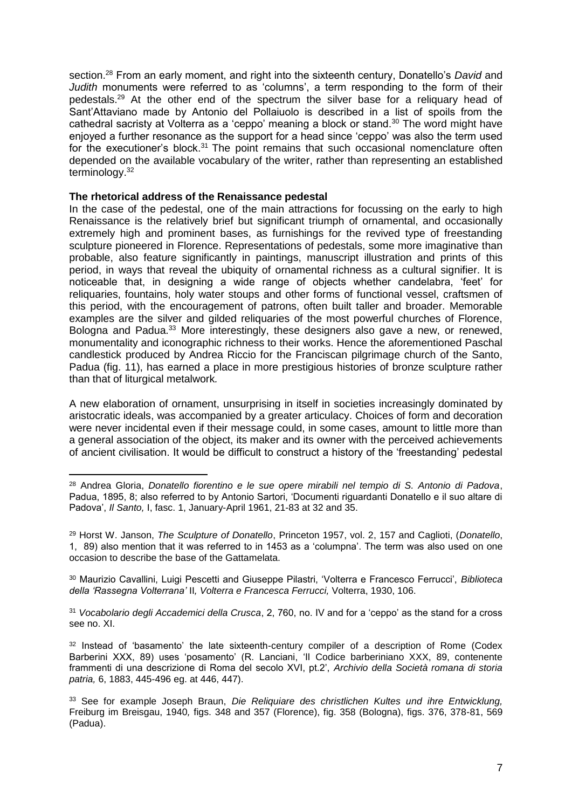section.<sup>28</sup> From an early moment, and right into the sixteenth century, Donatello's *David* and *Judith* monuments were referred to as 'columns', a term responding to the form of their pedestals.<sup>29</sup> At the other end of the spectrum the silver base for a reliquary head of Sant'Attaviano made by Antonio del Pollaiuolo is described in a list of spoils from the cathedral sacristy at Volterra as a 'ceppo' meaning a block or stand.<sup>30</sup> The word might have enjoyed a further resonance as the support for a head since 'ceppo' was also the term used for the executioner's block.<sup>31</sup> The point remains that such occasional nomenclature often depended on the available vocabulary of the writer, rather than representing an established terminology.<sup>32</sup>

## **The rhetorical address of the Renaissance pedestal**

1

In the case of the pedestal, one of the main attractions for focussing on the early to high Renaissance is the relatively brief but significant triumph of ornamental, and occasionally extremely high and prominent bases, as furnishings for the revived type of freestanding sculpture pioneered in Florence. Representations of pedestals, some more imaginative than probable, also feature significantly in paintings, manuscript illustration and prints of this period, in ways that reveal the ubiquity of ornamental richness as a cultural signifier. It is noticeable that, in designing a wide range of objects whether candelabra, 'feet' for reliquaries, fountains, holy water stoups and other forms of functional vessel, craftsmen of this period, with the encouragement of patrons, often built taller and broader. Memorable examples are the silver and gilded reliquaries of the most powerful churches of Florence, Bologna and Padua.<sup>33</sup> More interestingly, these designers also gave a new, or renewed, monumentality and iconographic richness to their works. Hence the aforementioned Paschal candlestick produced by Andrea Riccio for the Franciscan pilgrimage church of the Santo, Padua (fig. 11), has earned a place in more prestigious histories of bronze sculpture rather than that of liturgical metalwork*.*

A new elaboration of ornament, unsurprising in itself in societies increasingly dominated by aristocratic ideals, was accompanied by a greater articulacy. Choices of form and decoration were never incidental even if their message could, in some cases, amount to little more than a general association of the object, its maker and its owner with the perceived achievements of ancient civilisation. It would be difficult to construct a history of the 'freestanding' pedestal

<sup>30</sup> Maurizio Cavallini, Luigi Pescetti and Giuseppe Pilastri, 'Volterra e Francesco Ferrucci', *Biblioteca della 'Rassegna Volterrana'* II*, Volterra e Francesca Ferrucci,* Volterra, 1930, 106.

<sup>31</sup> *Vocabolario degli Accademici della Crusca*, 2, 760, no. IV and for a 'ceppo' as the stand for a cross see no. XI.

<sup>28</sup> Andrea Gloria, *Donatello fiorentino e le sue opere mirabili nel tempio di S. Antonio di Padova*, Padua, 1895, 8; also referred to by Antonio Sartori, 'Documenti riguardanti Donatello e il suo altare di Padova', *Il Santo,* I, fasc. 1, January-April 1961, 21-83 at 32 and 35.

<sup>29</sup> Horst W. Janson, *The Sculpture of Donatello*, Princeton 1957, vol. 2, 157 and Caglioti, (*Donatello*, 1, 89) also mention that it was referred to in 1453 as a 'columpna'. The term was also used on one occasion to describe the base of the Gattamelata.

<sup>&</sup>lt;sup>32</sup> Instead of 'basamento' the late sixteenth-century compiler of a description of Rome (Codex Barberini XXX, 89) uses 'posamento' (R. Lanciani, 'Il Codice barberiniano XXX, 89, contenente frammenti di una descrizione di Roma del secolo XVI, pt.2', *Archivio della Società romana di storia patria,* 6, 1883, 445-496 eg. at 446, 447).

<sup>33</sup> See for example Joseph Braun, *Die Reliquiare des christlichen Kultes und ihre Entwicklung,*  Freiburg im Breisgau, 1940*,* figs. 348 and 357 (Florence), fig. 358 (Bologna), figs. 376, 378-81, 569 (Padua).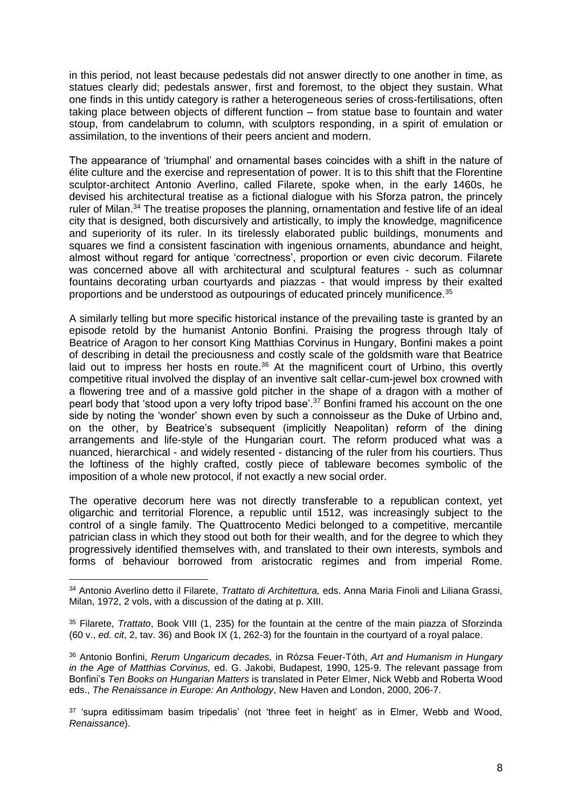in this period, not least because pedestals did not answer directly to one another in time, as statues clearly did; pedestals answer, first and foremost, to the object they sustain. What one finds in this untidy category is rather a heterogeneous series of cross-fertilisations, often taking place between objects of different function – from statue base to fountain and water stoup, from candelabrum to column, with sculptors responding, in a spirit of emulation or assimilation, to the inventions of their peers ancient and modern.

The appearance of 'triumphal' and ornamental bases coincides with a shift in the nature of élite culture and the exercise and representation of power. It is to this shift that the Florentine sculptor-architect Antonio Averlino, called Filarete, spoke when, in the early 1460s, he devised his architectural treatise as a fictional dialogue with his Sforza patron, the princely ruler of Milan.<sup>34</sup> The treatise proposes the planning, ornamentation and festive life of an ideal city that is designed, both discursively and artistically, to imply the knowledge, magnificence and superiority of its ruler. In its tirelessly elaborated public buildings, monuments and squares we find a consistent fascination with ingenious ornaments, abundance and height, almost without regard for antique 'correctness', proportion or even civic decorum. Filarete was concerned above all with architectural and sculptural features - such as columnar fountains decorating urban courtyards and piazzas - that would impress by their exalted proportions and be understood as outpourings of educated princely munificence.<sup>35</sup>

A similarly telling but more specific historical instance of the prevailing taste is granted by an episode retold by the humanist Antonio Bonfini. Praising the progress through Italy of Beatrice of Aragon to her consort King Matthias Corvinus in Hungary, Bonfini makes a point of describing in detail the preciousness and costly scale of the goldsmith ware that Beatrice laid out to impress her hosts en route.<sup>36</sup> At the magnificent court of Urbino, this overtly competitive ritual involved the display of an inventive salt cellar-cum-jewel box crowned with a flowering tree and of a massive gold pitcher in the shape of a dragon with a mother of pearl body that 'stood upon a very lofty tripod base'.<sup>37</sup> Bonfini framed his account on the one side by noting the 'wonder' shown even by such a connoisseur as the Duke of Urbino and, on the other, by Beatrice's subsequent (implicitly Neapolitan) reform of the dining arrangements and life-style of the Hungarian court. The reform produced what was a nuanced, hierarchical - and widely resented - distancing of the ruler from his courtiers. Thus the loftiness of the highly crafted, costly piece of tableware becomes symbolic of the imposition of a whole new protocol, if not exactly a new social order.

The operative decorum here was not directly transferable to a republican context, yet oligarchic and territorial Florence, a republic until 1512, was increasingly subject to the control of a single family. The Quattrocento Medici belonged to a competitive, mercantile patrician class in which they stood out both for their wealth, and for the degree to which they progressively identified themselves with, and translated to their own interests, symbols and forms of behaviour borrowed from aristocratic regimes and from imperial Rome.

<sup>34</sup> Antonio Averlino detto il Filarete, *Trattato di Architettura,* eds. Anna Maria Finoli and Liliana Grassi, Milan, 1972, 2 vols, with a discussion of the dating at p. XIII.

<sup>35</sup> Filarete, *Trattato*, Book VIII (1, 235) for the fountain at the centre of the main piazza of Sforzinda (60 v., *ed. cit*, 2, tav. 36) and Book IX (1, 262-3) for the fountain in the courtyard of a royal palace.

<sup>36</sup> Antonio Bonfini, *Rerum Ungaricum decades,* in Rózsa Feuer-Tóth, *Art and Humanism in Hungary in the Age of Matthias Corvinus,* ed. G. Jakobi, Budapest, 1990, 125-9. The relevant passage from Bonfini's *Ten Books on Hungarian Matters* is translated in Peter Elmer, Nick Webb and Roberta Wood eds., *The Renaissance in Europe: An Anthology*, New Haven and London, 2000, 206-7.

<sup>&</sup>lt;sup>37</sup> 'supra editissimam basim tripedalis' (not 'three feet in height' as in Elmer, Webb and Wood, *Renaissance*).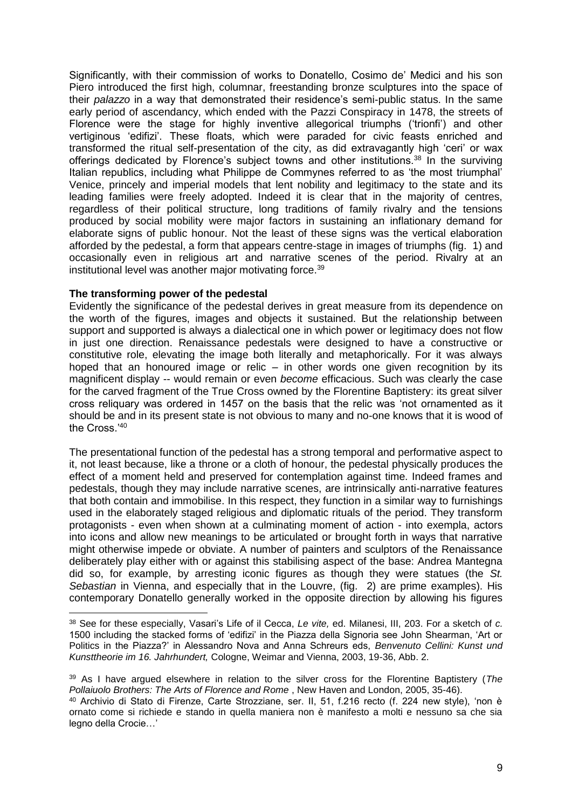Significantly, with their commission of works to Donatello, Cosimo de' Medici and his son Piero introduced the first high, columnar, freestanding bronze sculptures into the space of their *palazzo* in a way that demonstrated their residence's semi-public status. In the same early period of ascendancy, which ended with the Pazzi Conspiracy in 1478, the streets of Florence were the stage for highly inventive allegorical triumphs ('trionfi') and other vertiginous 'edifizi'. These floats, which were paraded for civic feasts enriched and transformed the ritual self-presentation of the city, as did extravagantly high 'ceri' or wax offerings dedicated by Florence's subject towns and other institutions.<sup>38</sup> In the surviving Italian republics, including what Philippe de Commynes referred to as 'the most triumphal' Venice, princely and imperial models that lent nobility and legitimacy to the state and its leading families were freely adopted. Indeed it is clear that in the majority of centres, regardless of their political structure, long traditions of family rivalry and the tensions produced by social mobility were major factors in sustaining an inflationary demand for elaborate signs of public honour. Not the least of these signs was the vertical elaboration afforded by the pedestal, a form that appears centre-stage in images of triumphs (fig. 1) and occasionally even in religious art and narrative scenes of the period. Rivalry at an institutional level was another major motivating force.<sup>39</sup>

## **The transforming power of the pedestal**

1

Evidently the significance of the pedestal derives in great measure from its dependence on the worth of the figures, images and objects it sustained. But the relationship between support and supported is always a dialectical one in which power or legitimacy does not flow in just one direction. Renaissance pedestals were designed to have a constructive or constitutive role, elevating the image both literally and metaphorically. For it was always hoped that an honoured image or relic – in other words one given recognition by its magnificent display -- would remain or even *become* efficacious. Such was clearly the case for the carved fragment of the True Cross owned by the Florentine Baptistery: its great silver cross reliquary was ordered in 1457 on the basis that the relic was 'not ornamented as it should be and in its present state is not obvious to many and no-one knows that it is wood of the Cross.'<sup>40</sup>

The presentational function of the pedestal has a strong temporal and performative aspect to it, not least because, like a throne or a cloth of honour, the pedestal physically produces the effect of a moment held and preserved for contemplation against time. Indeed frames and pedestals, though they may include narrative scenes, are intrinsically anti-narrative features that both contain and immobilise. In this respect, they function in a similar way to furnishings used in the elaborately staged religious and diplomatic rituals of the period. They transform protagonists - even when shown at a culminating moment of action - into exempla, actors into icons and allow new meanings to be articulated or brought forth in ways that narrative might otherwise impede or obviate. A number of painters and sculptors of the Renaissance deliberately play either with or against this stabilising aspect of the base: Andrea Mantegna did so, for example, by arresting iconic figures as though they were statues (the *St. Sebastian* in Vienna, and especially that in the Louvre, (fig. 2) are prime examples). His contemporary Donatello generally worked in the opposite direction by allowing his figures

<sup>38</sup> See for these especially, Vasari's Life of il Cecca, *Le vite,* ed. Milanesi, III, 203. For a sketch of *c.*  1500 including the stacked forms of 'edifizi' in the Piazza della Signoria see John Shearman, 'Art or Politics in the Piazza?' in Alessandro Nova and Anna Schreurs eds, *Benvenuto Cellini: Kunst und Kunsttheorie im 16. Jahrhundert,* Cologne, Weimar and Vienna, 2003, 19-36, Abb. 2.

<sup>39</sup> As I have argued elsewhere in relation to the silver cross for the Florentine Baptistery (*The Pollaiuolo Brothers: The Arts of Florence and Rome* , New Haven and London, 2005, 35-46).

<sup>40</sup> Archivio di Stato di Firenze, Carte Strozziane, ser. II, 51, f.216 recto (f. 224 new style), 'non è ornato come si richiede e stando in quella maniera non è manifesto a molti e nessuno sa che sia legno della Crocie…'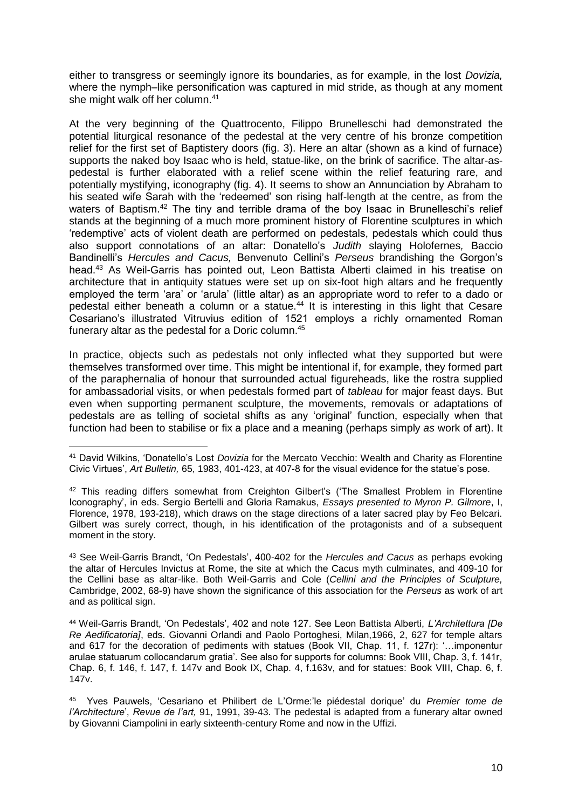either to transgress or seemingly ignore its boundaries, as for example, in the lost *Dovizia,*  where the nymph–like personification was captured in mid stride, as though at any moment she might walk off her column.<sup>41</sup>

At the very beginning of the Quattrocento, Filippo Brunelleschi had demonstrated the potential liturgical resonance of the pedestal at the very centre of his bronze competition relief for the first set of Baptistery doors (fig. 3). Here an altar (shown as a kind of furnace) supports the naked boy Isaac who is held, statue-like, on the brink of sacrifice. The altar-aspedestal is further elaborated with a relief scene within the relief featuring rare, and potentially mystifying, iconography (fig. 4). It seems to show an Annunciation by Abraham to his seated wife Sarah with the 'redeemed' son rising half-length at the centre, as from the waters of Baptism.<sup>42</sup> The tiny and terrible drama of the boy Isaac in Brunelleschi's relief stands at the beginning of a much more prominent history of Florentine sculptures in which 'redemptive' acts of violent death are performed on pedestals, pedestals which could thus also support connotations of an altar: Donatello's *Judith* slaying Holofernes*,* Baccio Bandinelli's *Hercules and Cacus,* Benvenuto Cellini's *Perseus* brandishing the Gorgon's head.<sup>43</sup> As Weil-Garris has pointed out, Leon Battista Alberti claimed in his treatise on architecture that in antiquity statues were set up on six-foot high altars and he frequently employed the term 'ara' or 'arula' (little altar) as an appropriate word to refer to a dado or pedestal either beneath a column or a statue.<sup>44</sup> It is interesting in this light that Cesare Cesariano's illustrated Vitruvius edition of 1521 employs a richly ornamented Roman funerary altar as the pedestal for a Doric column. 45

In practice, objects such as pedestals not only inflected what they supported but were themselves transformed over time. This might be intentional if, for example, they formed part of the paraphernalia of honour that surrounded actual figureheads, like the rostra supplied for ambassadorial visits, or when pedestals formed part of *tableau* for major feast days. But even when supporting permanent sculpture, the movements, removals or adaptations of pedestals are as telling of societal shifts as any 'original' function, especially when that function had been to stabilise or fix a place and a meaning (perhaps simply *as* work of art). It

<sup>43</sup> See Weil-Garris Brandt, 'On Pedestals', 400-402 for the *Hercules and Cacus* as perhaps evoking the altar of Hercules Invictus at Rome, the site at which the Cacus myth culminates, and 409-10 for the Cellini base as altar-like. Both Weil-Garris and Cole (*Cellini and the Principles of Sculpture,*  Cambridge, 2002, 68-9) have shown the significance of this association for the *Perseus* as work of art and as political sign.

<sup>44</sup> Weil-Garris Brandt, 'On Pedestals', 402 and note 127. See Leon Battista Alberti, *L'Architettura [De Re Aedificatoria]*, eds. Giovanni Orlandi and Paolo Portoghesi, Milan,1966, 2, 627 for temple altars and 617 for the decoration of pediments with statues (Book VII, Chap. 11, f. 127r): '…imponentur arulae statuarum collocandarum gratia'. See also for supports for columns: Book VIII, Chap. 3, f. 141r, Chap. 6, f. 146, f. 147, f. 147v and Book IX, Chap. 4, f.163v, and for statues: Book VIII, Chap. 6, f. 147v.

45 Yves Pauwels, 'Cesariano et Philibert de L'Orme:'le piédestal dorique' du *Premier tome de l'Architecture*', *Revue de l'art,* 91, 1991, 39-43. The pedestal is adapted from a funerary altar owned by Giovanni Ciampolini in early sixteenth-century Rome and now in the Uffizi.

<sup>1</sup> <sup>41</sup> David Wilkins, 'Donatello's Lost *Dovizia* for the Mercato Vecchio: Wealth and Charity as Florentine Civic Virtues', *Art Bulletin,* 65, 1983, 401-423, at 407-8 for the visual evidence for the statue's pose.

<sup>&</sup>lt;sup>42</sup> This reading differs somewhat from Creighton Gilbert's ('The Smallest Problem in Florentine Iconography', in eds. Sergio Bertelli and Gloria Ramakus, *Essays presented to Myron P. Gilmore*, I, Florence, 1978, 193-218), which draws on the stage directions of a later sacred play by Feo Belcari. Gilbert was surely correct, though, in his identification of the protagonists and of a subsequent moment in the story.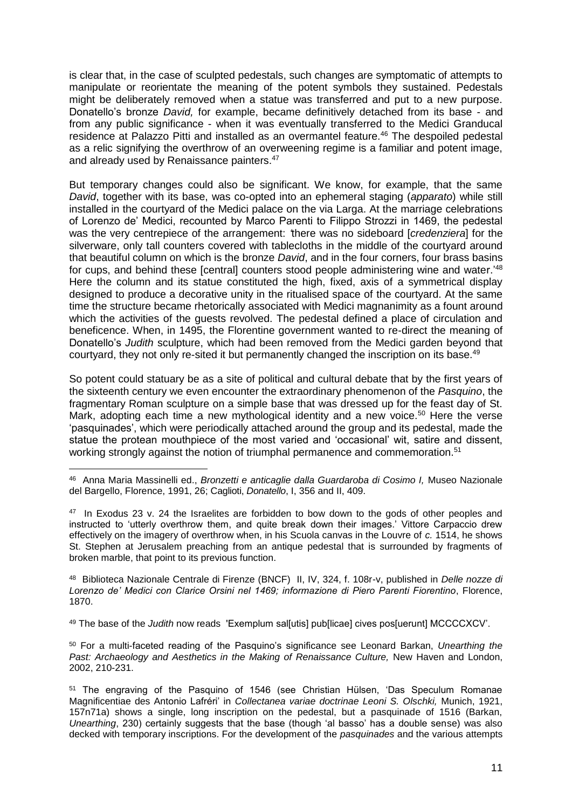is clear that, in the case of sculpted pedestals, such changes are symptomatic of attempts to manipulate or reorientate the meaning of the potent symbols they sustained. Pedestals might be deliberately removed when a statue was transferred and put to a new purpose. Donatello's bronze *David,* for example, became definitively detached from its base - and from any public significance - when it was eventually transferred to the Medici Granducal residence at Palazzo Pitti and installed as an overmantel feature.<sup>46</sup> The despoiled pedestal as a relic signifying the overthrow of an overweening regime is a familiar and potent image, and already used by Renaissance painters.<sup>47</sup>

But temporary changes could also be significant. We know, for example, that the same *David*, together with its base, was co-opted into an ephemeral staging (*apparato*) while still installed in the courtyard of the Medici palace on the via Larga. At the marriage celebrations of Lorenzo de' Medici, recounted by Marco Parenti to Filippo Strozzi in 1469, the pedestal was the very centrepiece of the arrangement: *'*there was no sideboard [*credenziera*] for the silverware, only tall counters covered with tablecloths in the middle of the courtyard around that beautiful column on which is the bronze *David*, and in the four corners, four brass basins for cups, and behind these [central] counters stood people administering wine and water.'<sup>48</sup> Here the column and its statue constituted the high, fixed, axis of a symmetrical display designed to produce a decorative unity in the ritualised space of the courtyard. At the same time the structure became rhetorically associated with Medici magnanimity as a fount around which the activities of the guests revolved. The pedestal defined a place of circulation and beneficence. When, in 1495, the Florentine government wanted to re-direct the meaning of Donatello's *Judith* sculpture, which had been removed from the Medici garden beyond that courtyard, they not only re-sited it but permanently changed the inscription on its base.<sup>49</sup>

So potent could statuary be as a site of political and cultural debate that by the first years of the sixteenth century we even encounter the extraordinary phenomenon of the *Pasquino*, the fragmentary Roman sculpture on a simple base that was dressed up for the feast day of St. Mark, adopting each time a new mythological identity and a new voice.<sup>50</sup> Here the verse 'pasquinades', which were periodically attached around the group and its pedestal, made the statue the protean mouthpiece of the most varied and 'occasional' wit, satire and dissent, working strongly against the notion of triumphal permanence and commemoration.<sup>51</sup>

48 Biblioteca Nazionale Centrale di Firenze (BNCF) II, IV, 324, f. 108r-v, published in *Delle nozze di Lorenzo de' Medici con Clarice Orsini nel 1469; informazione di Piero Parenti Fiorentino*, Florence, 1870.

<sup>49</sup> The base of the *Judith* now reads 'Exemplum sal[utis] pub[licae] cives pos[uerunt] MCCCCXCV'.

<sup>50</sup> For a multi-faceted reading of the Pasquino's significance see Leonard Barkan, *Unearthing the*  Past: Archaeology and Aesthetics in the Making of Renaissance Culture, New Haven and London, 2002, 210-231.

<sup>&</sup>lt;u>.</u> 46 Anna Maria Massinelli ed., *Bronzetti e anticaglie dalla Guardaroba di Cosimo I,* Museo Nazionale del Bargello, Florence, 1991, 26; Caglioti, *Donatello*, I, 356 and II, 409.

<sup>&</sup>lt;sup>47</sup> In Exodus 23 v. 24 the Israelites are forbidden to bow down to the gods of other peoples and instructed to 'utterly overthrow them, and quite break down their images.' Vittore Carpaccio drew effectively on the imagery of overthrow when, in his Scuola canvas in the Louvre of *c.* 1514, he shows St. Stephen at Jerusalem preaching from an antique pedestal that is surrounded by fragments of broken marble, that point to its previous function.

<sup>51</sup> The engraving of the Pasquino of 1546 (see Christian Hülsen, 'Das Speculum Romanae Magnificentiae des Antonio Lafréri' in *Collectanea variae doctrinae Leoni S. Olschki,* Munich, 1921, 157n71a) shows a single, long inscription on the pedestal, but a pasquinade of 1516 (Barkan, *Unearthing*, 230) certainly suggests that the base (though 'al basso' has a double sense) was also decked with temporary inscriptions. For the development of the *pasquinades* and the various attempts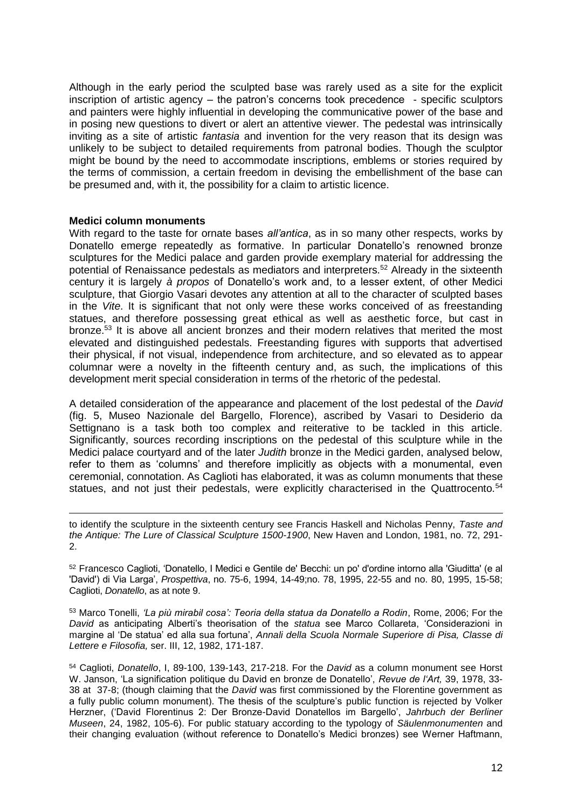Although in the early period the sculpted base was rarely used as a site for the explicit inscription of artistic agency – the patron's concerns took precedence - specific sculptors and painters were highly influential in developing the communicative power of the base and in posing new questions to divert or alert an attentive viewer. The pedestal was intrinsically inviting as a site of artistic *fantasia* and invention for the very reason that its design was unlikely to be subject to detailed requirements from patronal bodies. Though the sculptor might be bound by the need to accommodate inscriptions, emblems or stories required by the terms of commission, a certain freedom in devising the embellishment of the base can be presumed and, with it, the possibility for a claim to artistic licence.

#### **Medici column monuments**

1

With regard to the taste for ornate bases *all'antica*, as in so many other respects, works by Donatello emerge repeatedly as formative. In particular Donatello's renowned bronze sculptures for the Medici palace and garden provide exemplary material for addressing the potential of Renaissance pedestals as mediators and interpreters.<sup>52</sup> Already in the sixteenth century it is largely *à propos* of Donatello's work and, to a lesser extent, of other Medici sculpture, that Giorgio Vasari devotes any attention at all to the character of sculpted bases in the *Vite*. It is significant that not only were these works conceived of as freestanding statues, and therefore possessing great ethical as well as aesthetic force, but cast in bronze.<sup>53</sup> It is above all ancient bronzes and their modern relatives that merited the most elevated and distinguished pedestals. Freestanding figures with supports that advertised their physical, if not visual, independence from architecture, and so elevated as to appear columnar were a novelty in the fifteenth century and, as such, the implications of this development merit special consideration in terms of the rhetoric of the pedestal.

A detailed consideration of the appearance and placement of the lost pedestal of the *David*  (fig. 5, Museo Nazionale del Bargello, Florence), ascribed by Vasari to Desiderio da Settignano is a task both too complex and reiterative to be tackled in this article. Significantly, sources recording inscriptions on the pedestal of this sculpture while in the Medici palace courtyard and of the later *Judith* bronze in the Medici garden, analysed below, refer to them as 'columns' and therefore implicitly as objects with a monumental, even ceremonial, connotation. As Caglioti has elaborated, it was as column monuments that these statues, and not just their pedestals, were explicitly characterised in the Quattrocento.<sup>54</sup>

to identify the sculpture in the sixteenth century see Francis Haskell and Nicholas Penny, *Taste and the Antique: The Lure of Classical Sculpture 1500-1900*, New Haven and London, 1981, no. 72, 291- 2.

<sup>52</sup> Francesco Caglioti, 'Donatello, I Medici e Gentile de' Becchi: un po' d'ordine intorno alla 'Giuditta' (e al 'David') di Via Larga', *Prospettiva*, no. 75-6, 1994, 14-49;no. 78, 1995, 22-55 and no. 80, 1995, 15-58; Caglioti, *Donatello*, as at note 9.

<sup>53</sup> Marco Tonelli, *'La più mirabil cosa': Teoria della statua da Donatello a Rodin*, Rome, 2006; For the *David* as anticipating Alberti's theorisation of the *statua* see Marco Collareta, 'Considerazioni in margine al 'De statua' ed alla sua fortuna', *Annali della Scuola Normale Superiore di Pisa, Classe di Lettere e Filosofia,* ser. III, 12, 1982, 171-187.

<sup>54</sup> Caglioti, *Donatello*, I, 89-100, 139-143, 217-218. For the *David* as a column monument see Horst W. Janson, 'La signification politique du David en bronze de Donatello', *Revue de l'Art,* 39, 1978, 33- 38 at 37-8; (though claiming that the *David* was first commissioned by the Florentine government as a fully public column monument). The thesis of the sculpture's public function is rejected by Volker Herzner, ('David Florentinus 2: Der Bronze-David Donatellos im Bargello', *Jahrbuch der Berliner Museen*, 24, 1982, 105-6). For public statuary according to the typology of *Säulenmonumenten* and their changing evaluation (without reference to Donatello's Medici bronzes) see Werner Haftmann,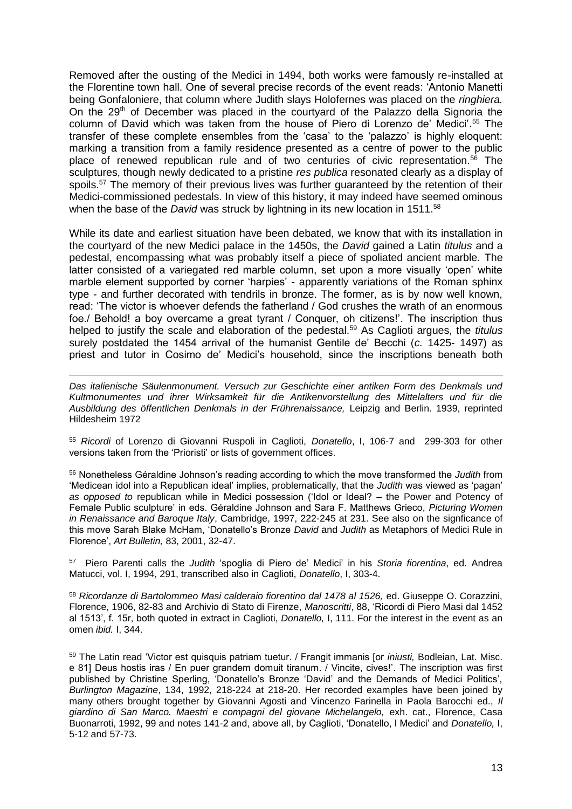Removed after the ousting of the Medici in 1494, both works were famously re-installed at the Florentine town hall. One of several precise records of the event reads: 'Antonio Manetti being Gonfaloniere, that column where Judith slays Holofernes was placed on the *ringhiera.*  On the 29<sup>th</sup> of December was placed in the courtyard of the Palazzo della Signoria the column of David which was taken from the house of Piero di Lorenzo de' Medici'.<sup>55</sup> The transfer of these complete ensembles from the 'casa' to the 'palazzo' is highly eloquent: marking a transition from a family residence presented as a centre of power to the public place of renewed republican rule and of two centuries of civic representation.<sup>56</sup> The sculptures, though newly dedicated to a pristine *res publica* resonated clearly as a display of spoils.<sup>57</sup> The memory of their previous lives was further quaranteed by the retention of their Medici-commissioned pedestals. In view of this history, it may indeed have seemed ominous when the base of the *David* was struck by lightning in its new location in 1511.<sup>58</sup>

While its date and earliest situation have been debated, we know that with its installation in the courtyard of the new Medici palace in the 1450s, the *David* gained a Latin *titulus* and a pedestal, encompassing what was probably itself a piece of spoliated ancient marble*.* The latter consisted of a variegated red marble column, set upon a more visually 'open' white marble element supported by corner 'harpies' - apparently variations of the Roman sphinx type - and further decorated with tendrils in bronze. The former, as is by now well known, read: 'The victor is whoever defends the fatherland / God crushes the wrath of an enormous foe./ Behold! a boy overcame a great tyrant / Conquer, oh citizens!'. The inscription thus helped to justify the scale and elaboration of the pedestal.<sup>59</sup> As Caglioti argues, the *titulus* surely postdated the 1454 arrival of the humanist Gentile de' Becchi (*c.* 1425- 1497) as priest and tutor in Cosimo de' Medici's household, since the inscriptions beneath both

*Das italienische Säulenmonument. Versuch zur Geschichte einer antiken Form des Denkmals und Kultmonumentes und ihrer Wirksamkeit für die Antikenvorstellung des Mittelalters und für die Ausbildung des öffentlichen Denkmals in der Frührenaissance,* Leipzig and Berlin. 1939, reprinted Hildesheim 1972

1

<sup>55</sup> *Ricordi* of Lorenzo di Giovanni Ruspoli in Caglioti, *Donatello*, I, 106-7 and 299-303 for other versions taken from the 'Prioristi' or lists of government offices.

<sup>56</sup> Nonetheless Géraldine Johnson's reading according to which the move transformed the *Judith* from 'Medicean idol into a Republican ideal' implies, problematically, that the *Judith* was viewed as 'pagan' *as opposed to* republican while in Medici possession ('Idol or Ideal? – the Power and Potency of Female Public sculpture' in eds. Géraldine Johnson and Sara F. Matthews Grieco, *Picturing Women in Renaissance and Baroque Italy*, Cambridge, 1997, 222-245 at 231. See also on the signficance of this move Sarah Blake McHam, 'Donatello's Bronze *David* and *Judith* as Metaphors of Medici Rule in Florence', *Art Bulletin,* 83, 2001, 32-47.

57 Piero Parenti calls the *Judith* 'spoglia di Piero de' Medici' in his *Storia fiorentina*, ed. Andrea Matucci, vol. I, 1994, 291, transcribed also in Caglioti, *Donatello*, I, 303-4.

<sup>58</sup> *Ricordanze di Bartolommeo Masi calderaio fiorentino dal 1478 al 1526,* ed. Giuseppe O. Corazzini, Florence, 1906, 82-83 and Archivio di Stato di Firenze, *Manoscritti*, 88, 'Ricordi di Piero Masi dal 1452 al 1513', f. 15r, both quoted in extract in Caglioti, *Donatello,* I, 111. For the interest in the event as an omen *ibid.* I, 344.

<sup>59</sup> The Latin read 'Victor est quisquis patriam tuetur. / Frangit immanis [or *iniusti,* Bodleian, Lat. Misc. e 81] Deus hostis iras / En puer grandem domuit tiranum. / Vincite, cives!'. The inscription was first published by Christine Sperling, 'Donatello's Bronze 'David' and the Demands of Medici Politics', *Burlington Magazine*, 134, 1992, 218-224 at 218-20. Her recorded examples have been joined by many others brought together by Giovanni Agosti and Vincenzo Farinella in Paola Barocchi ed., *Il giardino di San Marco. Maestri e compagni del giovane Michelangelo,* exh. cat., Florence, Casa Buonarroti, 1992, 99 and notes 141-2 and, above all, by Caglioti, 'Donatello, I Medici' and *Donatello,* I, 5-12 and 57-73.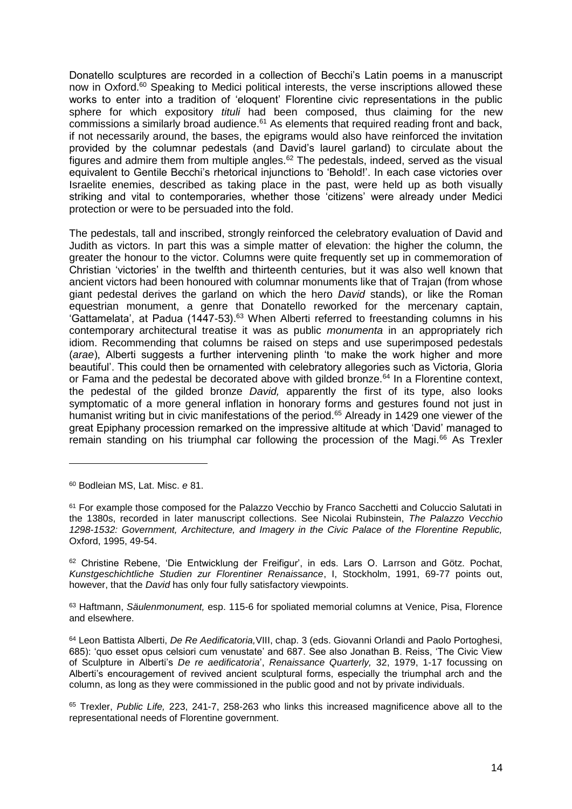Donatello sculptures are recorded in a collection of Becchi's Latin poems in a manuscript now in Oxford.<sup>60</sup> Speaking to Medici political interests, the verse inscriptions allowed these works to enter into a tradition of 'eloquent' Florentine civic representations in the public sphere for which expository *tituli* had been composed, thus claiming for the new commissions a similarly broad audience.<sup>61</sup> As elements that required reading front and back, if not necessarily around, the bases, the epigrams would also have reinforced the invitation provided by the columnar pedestals (and David's laurel garland) to circulate about the figures and admire them from multiple angles. $62$  The pedestals, indeed, served as the visual equivalent to Gentile Becchi's rhetorical injunctions to 'Behold!'. In each case victories over Israelite enemies, described as taking place in the past, were held up as both visually striking and vital to contemporaries, whether those 'citizens' were already under Medici protection or were to be persuaded into the fold.

The pedestals, tall and inscribed, strongly reinforced the celebratory evaluation of David and Judith as victors. In part this was a simple matter of elevation: the higher the column, the greater the honour to the victor. Columns were quite frequently set up in commemoration of Christian 'victories' in the twelfth and thirteenth centuries, but it was also well known that ancient victors had been honoured with columnar monuments like that of Trajan (from whose giant pedestal derives the garland on which the hero *David* stands), or like the Roman equestrian monument, a genre that Donatello reworked for the mercenary captain, 'Gattamelata', at Padua (1447-53).<sup>63</sup> When Alberti referred to freestanding columns in his contemporary architectural treatise it was as public *monumenta* in an appropriately rich idiom. Recommending that columns be raised on steps and use superimposed pedestals (*arae*), Alberti suggests a further intervening plinth 'to make the work higher and more beautiful'. This could then be ornamented with celebratory allegories such as Victoria, Gloria or Fama and the pedestal be decorated above with gilded bronze.<sup>64</sup> In a Florentine context, the pedestal of the gilded bronze *David,* apparently the first of its type, also looks symptomatic of a more general inflation in honorary forms and gestures found not just in humanist writing but in civic manifestations of the period.<sup>65</sup> Already in 1429 one viewer of the great Epiphany procession remarked on the impressive altitude at which 'David' managed to remain standing on his triumphal car following the procession of the Magi.<sup>66</sup> As Trexler

1

<sup>62</sup> Christine Rebene, 'Die Entwicklung der Freifigur', in eds. Lars O. Larrson and Götz. Pochat, *Kunstgeschichtliche Studien zur Florentiner Renaissance*, I, Stockholm, 1991, 69-77 points out, however, that the *David* has only four fully satisfactory viewpoints.

<sup>63</sup> Haftmann, *Säulenmonument,* esp. 115-6 for spoliated memorial columns at Venice, Pisa, Florence and elsewhere.

<sup>64</sup> Leon Battista Alberti, *De Re Aedificatoria,*VIII, chap. 3 (eds. Giovanni Orlandi and Paolo Portoghesi, 685): 'quo esset opus celsiori cum venustate' and 687. See also Jonathan B. Reiss, 'The Civic View of Sculpture in Alberti's *De re aedificatoria*', *Renaissance Quarterly,* 32, 1979, 1-17 focussing on Alberti's encouragement of revived ancient sculptural forms, especially the triumphal arch and the column, as long as they were commissioned in the public good and not by private individuals.

<sup>65</sup> Trexler, *Public Life,* 223, 241-7, 258-263 who links this increased magnificence above all to the representational needs of Florentine government.

<sup>60</sup> Bodleian MS, Lat. Misc. *e* 81.

<sup>&</sup>lt;sup>61</sup> For example those composed for the Palazzo Vecchio by Franco Sacchetti and Coluccio Salutati in the 1380s, recorded in later manuscript collections. See Nicolai Rubinstein, *The Palazzo Vecchio 1298-1532: Government, Architecture, and Imagery in the Civic Palace of the Florentine Republic,*  Oxford, 1995, 49-54.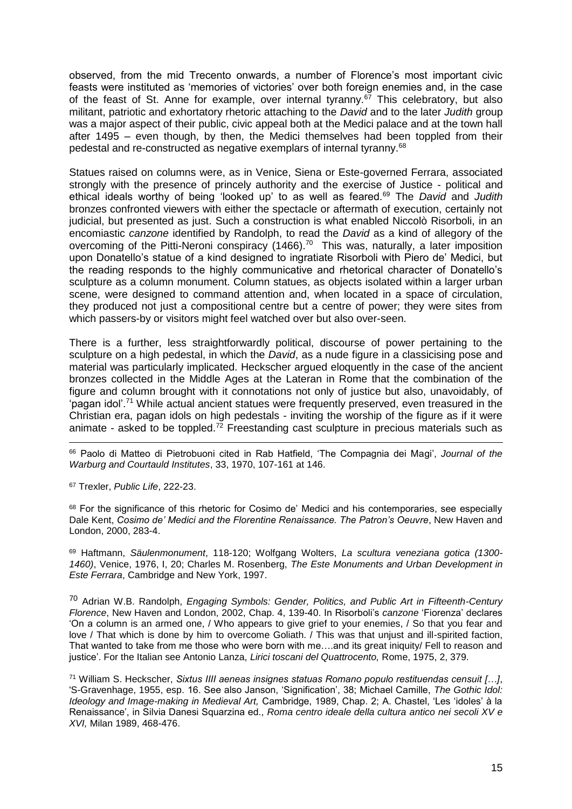observed, from the mid Trecento onwards, a number of Florence's most important civic feasts were instituted as 'memories of victories' over both foreign enemies and, in the case of the feast of St. Anne for example, over internal tyranny.<sup>67</sup> This celebratory, but also militant, patriotic and exhortatory rhetoric attaching to the *David* and to the later *Judith* group was a major aspect of their public, civic appeal both at the Medici palace and at the town hall after 1495 – even though, by then, the Medici themselves had been toppled from their pedestal and re-constructed as negative exemplars of internal tyranny.<sup>68</sup>

Statues raised on columns were, as in Venice, Siena or Este-governed Ferrara, associated strongly with the presence of princely authority and the exercise of Justice - political and ethical ideals worthy of being 'looked up' to as well as feared.<sup>69</sup> The *David* and *Judith*  bronzes confronted viewers with either the spectacle or aftermath of execution, certainly not judicial, but presented as just. Such a construction is what enabled Niccolò Risorboli, in an encomiastic *canzone* identified by Randolph, to read the *David* as a kind of allegory of the overcoming of the Pitti-Neroni conspiracy (1466).<sup>70</sup> This was, naturally, a later imposition upon Donatello's statue of a kind designed to ingratiate Risorboli with Piero de' Medici, but the reading responds to the highly communicative and rhetorical character of Donatello's sculpture as a column monument. Column statues, as objects isolated within a larger urban scene, were designed to command attention and, when located in a space of circulation, they produced not just a compositional centre but a centre of power; they were sites from which passers-by or visitors might feel watched over but also over-seen.

There is a further, less straightforwardly political, discourse of power pertaining to the sculpture on a high pedestal, in which the *David*, as a nude figure in a classicising pose and material was particularly implicated. Heckscher argued eloquently in the case of the ancient bronzes collected in the Middle Ages at the Lateran in Rome that the combination of the figure and column brought with it connotations not only of justice but also, unavoidably, of 'pagan idol'.<sup>71</sup> While actual ancient statues were frequently preserved, even treasured in the Christian era, pagan idols on high pedestals - inviting the worship of the figure as if it were animate - asked to be toppled.<sup>72</sup> Freestanding cast sculpture in precious materials such as

1 <sup>66</sup> Paolo di Matteo di Pietrobuoni cited in Rab Hatfield, 'The Compagnia dei Magi', *Journal of the Warburg and Courtauld Institutes*, 33, 1970, 107-161 at 146.

<sup>67</sup> Trexler, *Public Life*, 222-23.

68 For the significance of this rhetoric for Cosimo de' Medici and his contemporaries, see especially Dale Kent, *Cosimo de' Medici and the Florentine Renaissance. The Patron's Oeuvre*, New Haven and London, 2000, 283-4.

<sup>69</sup> Haftmann, *Säulenmonument*, 118-120; Wolfgang Wolters, *La scultura veneziana gotica (1300- 1460)*, Venice, 1976, I, 20; Charles M. Rosenberg, *The Este Monuments and Urban Development in Este Ferrara*, Cambridge and New York, 1997.

<sup>70</sup> Adrian W.B. Randolph, *Engaging Symbols: Gender, Politics, and Public Art in Fifteenth-Century Florence*, New Haven and London, 2002, Chap. 4, 139-40. In Risorboli's *canzone* 'Fiorenza' declares 'On a column is an armed one, / Who appears to give grief to your enemies, / So that you fear and love / That which is done by him to overcome Goliath. / This was that unjust and ill-spirited faction, That wanted to take from me those who were born with me….and its great iniquity/ Fell to reason and justice'. For the Italian see Antonio Lanza, *Lirici toscani del Quattrocento,* Rome, 1975, 2, 379.

<sup>71</sup> William S. Heckscher, *Sixtus IIII aeneas insignes statuas Romano populo restituendas censuit […]*, 'S-Gravenhage, 1955, esp. 16. See also Janson, 'Signification', 38; Michael Camille, *The Gothic Idol: Ideology and Image-making in Medieval Art,* Cambridge, 1989, Chap. 2; A. Chastel, 'Les 'idoles' à la Renaissance', in Silvia Danesi Squarzina ed., *Roma centro ideale della cultura antico nei secoli XV e XVI,* Milan 1989, 468-476.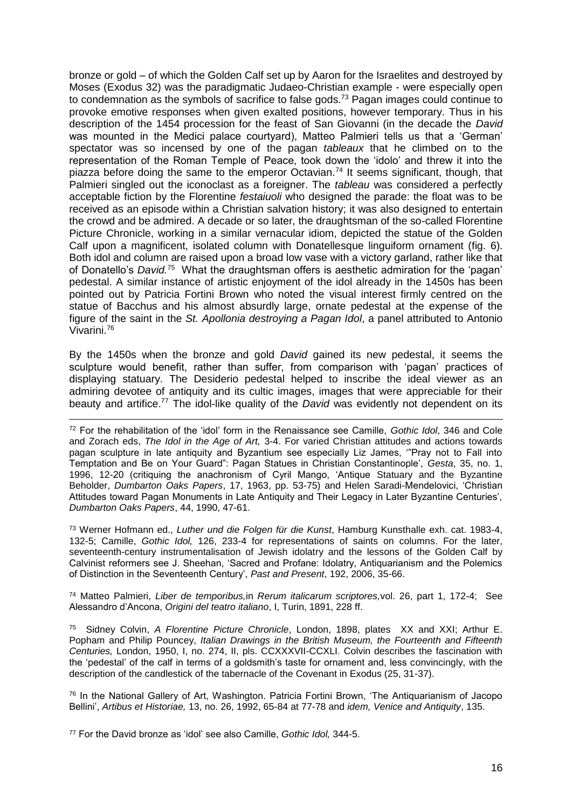bronze or gold – of which the Golden Calf set up by Aaron for the Israelites and destroyed by Moses (Exodus 32) was the paradigmatic Judaeo-Christian example - were especially open to condemnation as the symbols of sacrifice to false gods.<sup>73</sup> Pagan images could continue to provoke emotive responses when given exalted positions, however temporary. Thus in his description of the 1454 procession for the feast of San Giovanni (in the decade the *David*  was mounted in the Medici palace courtyard), Matteo Palmieri tells us that a 'German' spectator was so incensed by one of the pagan *tableaux* that he climbed on to the representation of the Roman Temple of Peace, took down the 'idolo' and threw it into the piazza before doing the same to the emperor Octavian.<sup>74</sup> It seems significant, though, that Palmieri singled out the iconoclast as a foreigner. The *tableau* was considered a perfectly acceptable fiction by the Florentine *festaiuoli* who designed the parade: the float was to be received as an episode within a Christian salvation history; it was also designed to entertain the crowd and be admired. A decade or so later, the draughtsman of the so-called Florentine Picture Chronicle, working in a similar vernacular idiom, depicted the statue of the Golden Calf upon a magnificent, isolated column with Donatellesque linguiform ornament (fig. 6). Both idol and column are raised upon a broad low vase with a victory garland, rather like that of Donatello's *David.<sup>75</sup>* What the draughtsman offers is aesthetic admiration for the 'pagan' pedestal. A similar instance of artistic enjoyment of the idol already in the 1450s has been pointed out by Patricia Fortini Brown who noted the visual interest firmly centred on the statue of Bacchus and his almost absurdly large, ornate pedestal at the expense of the figure of the saint in the *St. Apollonia destroying a Pagan Idol*, a panel attributed to Antonio Vivarini.<sup>76</sup>

By the 1450s when the bronze and gold *David* gained its new pedestal, it seems the sculpture would benefit, rather than suffer, from comparison with 'pagan' practices of displaying statuary. The Desiderio pedestal helped to inscribe the ideal viewer as an admiring devotee of antiquity and its cultic images, images that were appreciable for their beauty and artifice.<sup>77</sup> The idol-like quality of the *David* was evidently not dependent on its

<u>.</u> <sup>72</sup> For the rehabilitation of the 'idol' form in the Renaissance see Camille, *Gothic Idol*, 346 and Cole and Zorach eds, *The Idol in the Age of Art,* 3-4. For varied Christian attitudes and actions towards pagan sculpture in late antiquity and Byzantium see especially Liz James, '"Pray not to Fall into Temptation and Be on Your Guard": Pagan Statues in Christian Constantinople', *Gesta*, 35, no. 1, 1996, 12-20 (critiquing the anachronism of Cyril Mango, 'Antique Statuary and the Byzantine Beholder, *Dumbarton Oaks Papers*, 17, 1963, pp. 53-75) and Helen Saradi-Mendelovici, 'Christian Attitudes toward Pagan Monuments in Late Antiquity and Their Legacy in Later Byzantine Centuries', *Dumbarton Oaks Papers*, 44, 1990, 47-61.

<sup>73</sup> Werner Hofmann ed., *Luther und die Folgen für die Kunst*, Hamburg Kunsthalle exh. cat. 1983-4, 132-5; Camille, *Gothic Idol,* 126, 233-4 for representations of saints on columns. For the later, seventeenth-century instrumentalisation of Jewish idolatry and the lessons of the Golden Calf by Calvinist reformers see J. Sheehan, 'Sacred and Profane: Idolatry, Antiquarianism and the Polemics of Distinction in the Seventeenth Century', *Past and Present*, 192, 2006, 35-66.

<sup>74</sup> Matteo Palmieri, *Liber de temporibus,*in *Rerum italicarum scriptores,*vol. 26, part 1, 172-4; See Alessandro d'Ancona, *Origini del teatro italiano*, I, Turin, 1891, 228 ff.

75 Sidney Colvin, *A Florentine Picture Chronicle*, London, 1898, plates XX and XXI; Arthur E. Popham and Philip Pouncey, *Italian Drawings in the British Museum, the Fourteenth and Fifteenth Centuries,* London, 1950, I, no. 274, II, pls. CCXXXVII-CCXLI. Colvin describes the fascination with the 'pedestal' of the calf in terms of a goldsmith's taste for ornament and, less convincingly, with the description of the candlestick of the tabernacle of the Covenant in Exodus (25, 31-37).

<sup>76</sup> In the National Gallery of Art, Washington. Patricia Fortini Brown, 'The Antiquarianism of Jacopo Bellini', *Artibus et Historiae,* 13, no. 26, 1992, 65-84 at 77-78 and *idem, Venice and Antiquity*, 135.

<sup>77</sup> For the David bronze as 'idol' see also Camille, *Gothic Idol,* 344-5.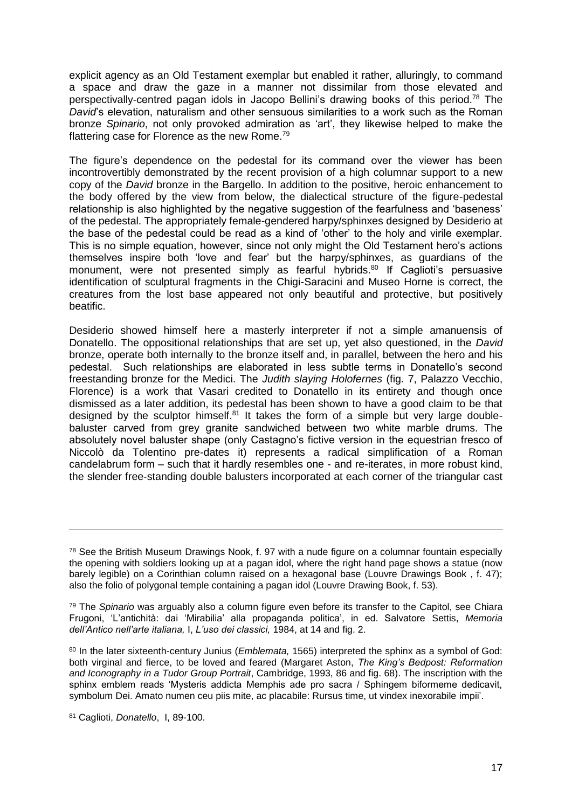explicit agency as an Old Testament exemplar but enabled it rather, alluringly, to command a space and draw the gaze in a manner not dissimilar from those elevated and perspectivally-centred pagan idols in Jacopo Bellini's drawing books of this period.<sup>78</sup> The *David*'s elevation, naturalism and other sensuous similarities to a work such as the Roman bronze *Spinario*, not only provoked admiration as 'art', they likewise helped to make the flattering case for Florence as the new Rome.<sup>79</sup>

The figure's dependence on the pedestal for its command over the viewer has been incontrovertibly demonstrated by the recent provision of a high columnar support to a new copy of the *David* bronze in the Bargello. In addition to the positive, heroic enhancement to the body offered by the view from below, the dialectical structure of the figure-pedestal relationship is also highlighted by the negative suggestion of the fearfulness and 'baseness' of the pedestal. The appropriately female-gendered harpy/sphinxes designed by Desiderio at the base of the pedestal could be read as a kind of 'other' to the holy and virile exemplar. This is no simple equation, however, since not only might the Old Testament hero's actions themselves inspire both 'love and fear' but the harpy/sphinxes, as guardians of the monument, were not presented simply as fearful hybrids.<sup>80</sup> If Caglioti's persuasive identification of sculptural fragments in the Chigi-Saracini and Museo Horne is correct, the creatures from the lost base appeared not only beautiful and protective, but positively beatific.

Desiderio showed himself here a masterly interpreter if not a simple amanuensis of Donatello. The oppositional relationships that are set up, yet also questioned, in the *David*  bronze, operate both internally to the bronze itself and, in parallel, between the hero and his pedestal. Such relationships are elaborated in less subtle terms in Donatello's second freestanding bronze for the Medici. The *Judith slaying Holofernes* (fig. 7, Palazzo Vecchio, Florence) is a work that Vasari credited to Donatello in its entirety and though once dismissed as a later addition, its pedestal has been shown to have a good claim to be that designed by the sculptor himself. $81$  It takes the form of a simple but very large doublebaluster carved from grey granite sandwiched between two white marble drums. The absolutely novel baluster shape (only Castagno's fictive version in the equestrian fresco of Niccolò da Tolentino pre-dates it) represents a radical simplification of a Roman candelabrum form – such that it hardly resembles one - and re-iterates, in more robust kind, the slender free-standing double balusters incorporated at each corner of the triangular cast

<sup>&</sup>lt;sup>78</sup> See the British Museum Drawings Nook, f. 97 with a nude figure on a columnar fountain especially the opening with soldiers looking up at a pagan idol, where the right hand page shows a statue (now barely legible) on a Corinthian column raised on a hexagonal base (Louvre Drawings Book , f. 47); also the folio of polygonal temple containing a pagan idol (Louvre Drawing Book, f. 53).

<sup>79</sup> The *Spinario* was arguably also a column figure even before its transfer to the Capitol, see Chiara Frugoni, 'L'antichità: dai 'Mirabilia' alla propaganda politica', in ed. Salvatore Settis, *Memoria dell'Antico nell'arte italiana,* I, *L'uso dei classici,* 1984, at 14 and fig. 2.

<sup>80</sup> In the later sixteenth-century Junius (*Emblemata,* 1565) interpreted the sphinx as a symbol of God: both virginal and fierce, to be loved and feared (Margaret Aston, *The King's Bedpost: Reformation and Iconography in a Tudor Group Portrait*, Cambridge, 1993, 86 and fig. 68). The inscription with the sphinx emblem reads 'Mysteris addicta Memphis ade pro sacra / Sphingem biformeme dedicavit, symbolum Dei. Amato numen ceu piis mite, ac placabile: Rursus time, ut vindex inexorabile impii'.

<sup>81</sup> Caglioti, *Donatello*, I, 89-100.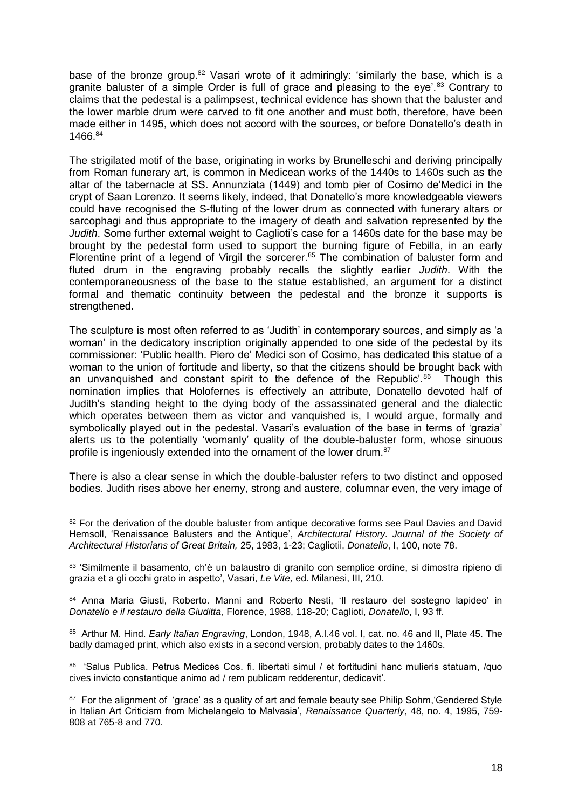base of the bronze group.<sup>82</sup> Vasari wrote of it admiringly: 'similarly the base, which is a granite baluster of a simple Order is full of grace and pleasing to the eye'.<sup>83</sup> Contrary to claims that the pedestal is a palimpsest, technical evidence has shown that the baluster and the lower marble drum were carved to fit one another and must both, therefore, have been made either in 1495, which does not accord with the sources, or before Donatello's death in 1466.<sup>84</sup>

The strigilated motif of the base, originating in works by Brunelleschi and deriving principally from Roman funerary art, is common in Medicean works of the 1440s to 1460s such as the altar of the tabernacle at SS. Annunziata (1449) and tomb pier of Cosimo de'Medici in the crypt of Saan Lorenzo. It seems likely, indeed, that Donatello's more knowledgeable viewers could have recognised the S-fluting of the lower drum as connected with funerary altars or sarcophagi and thus appropriate to the imagery of death and salvation represented by the *Judith*. Some further external weight to Caglioti's case for a 1460s date for the base may be brought by the pedestal form used to support the burning figure of Febilla, in an early Florentine print of a legend of Virgil the sorcerer.<sup>85</sup> The combination of baluster form and fluted drum in the engraving probably recalls the slightly earlier *Judith*. With the contemporaneousness of the base to the statue established, an argument for a distinct formal and thematic continuity between the pedestal and the bronze it supports is strengthened.

The sculpture is most often referred to as 'Judith' in contemporary sources, and simply as 'a woman' in the dedicatory inscription originally appended to one side of the pedestal by its commissioner: 'Public health. Piero de' Medici son of Cosimo, has dedicated this statue of a woman to the union of fortitude and liberty, so that the citizens should be brought back with an unvanquished and constant spirit to the defence of the Republic'.<sup>86</sup> Though this nomination implies that Holofernes is effectively an attribute, Donatello devoted half of Judith's standing height to the dying body of the assassinated general and the dialectic which operates between them as victor and vanquished is, I would argue, formally and symbolically played out in the pedestal. Vasari's evaluation of the base in terms of 'grazia' alerts us to the potentially 'womanly' quality of the double-baluster form, whose sinuous profile is ingeniously extended into the ornament of the lower drum.<sup>87</sup>

There is also a clear sense in which the double-baluster refers to two distinct and opposed bodies. Judith rises above her enemy, strong and austere, columnar even, the very image of

1

84 Anna Maria Giusti, Roberto. Manni and Roberto Nesti, 'Il restauro del sostegno lapideo' in *Donatello e il restauro della Giuditta*, Florence, 1988, 118-20; Caglioti, *Donatello*, I, 93 ff.

85 Arthur M. Hind. *Early Italian Engraving*, London, 1948, A.I.46 vol. I, cat. no. 46 and II, Plate 45. The badly damaged print, which also exists in a second version, probably dates to the 1460s.

86 'Salus Publica. Petrus Medices Cos. fi. libertati simul / et fortitudini hanc mulieris statuam, /quo cives invicto constantique animo ad / rem publicam redderentur, dedicavit'.

<sup>&</sup>lt;sup>82</sup> For the derivation of the double baluster from antique decorative forms see Paul Davies and David Hemsoll, 'Renaissance Balusters and the Antique', *Architectural History. Journal of the Society of Architectural Historians of Great Britain,* 25, 1983, 1-23; Cagliotii, *Donatello*, I, 100, note 78.

<sup>83 &#</sup>x27;Similmente il basamento, ch'è un balaustro di granito con semplice ordine, si dimostra ripieno di grazia et a gli occhi grato in aspetto', Vasari, *Le Vite,* ed. Milanesi, III, 210.

<sup>&</sup>lt;sup>87</sup> For the alignment of 'grace' as a quality of art and female beauty see Philip Sohm, 'Gendered Style in Italian Art Criticism from Michelangelo to Malvasia', *Renaissance Quarterly*, 48, no. 4, 1995, 759- 808 at 765-8 and 770.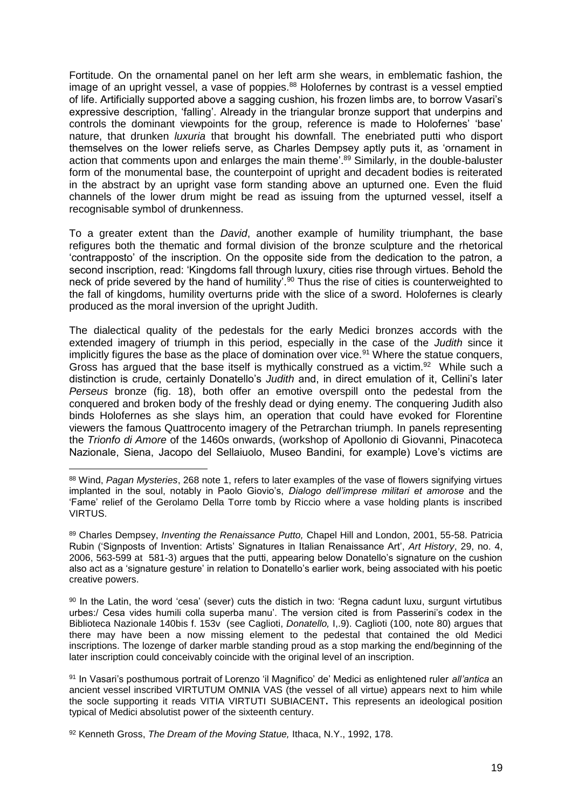Fortitude. On the ornamental panel on her left arm she wears, in emblematic fashion, the image of an upright vessel, a vase of poppies.<sup>88</sup> Holofernes by contrast is a vessel emptied of life. Artificially supported above a sagging cushion, his frozen limbs are, to borrow Vasari's expressive description, 'falling'. Already in the triangular bronze support that underpins and controls the dominant viewpoints for the group, reference is made to Holofernes' 'base' nature, that drunken *luxuria* that brought his downfall. The enebriated putti who disport themselves on the lower reliefs serve, as Charles Dempsey aptly puts it, as 'ornament in action that comments upon and enlarges the main theme<sup>'.89</sup> Similarly, in the double-baluster form of the monumental base, the counterpoint of upright and decadent bodies is reiterated in the abstract by an upright vase form standing above an upturned one. Even the fluid channels of the lower drum might be read as issuing from the upturned vessel, itself a recognisable symbol of drunkenness.

To a greater extent than the *David*, another example of humility triumphant, the base refigures both the thematic and formal division of the bronze sculpture and the rhetorical 'contrapposto' of the inscription. On the opposite side from the dedication to the patron, a second inscription, read: 'Kingdoms fall through luxury, cities rise through virtues. Behold the neck of pride severed by the hand of humility<sup>'.90</sup> Thus the rise of cities is counterweighted to the fall of kingdoms, humility overturns pride with the slice of a sword. Holofernes is clearly produced as the moral inversion of the upright Judith.

The dialectical quality of the pedestals for the early Medici bronzes accords with the extended imagery of triumph in this period, especially in the case of the *Judith* since it implicitly figures the base as the place of domination over vice.<sup>91</sup> Where the statue conquers, Gross has argued that the base itself is mythically construed as a victim. $92$  While such a distinction is crude, certainly Donatello's *Judith* and, in direct emulation of it, Cellini's later *Perseus* bronze (fig. 18), both offer an emotive overspill onto the pedestal from the conquered and broken body of the freshly dead or dying enemy. The conquering Judith also binds Holofernes as she slays him, an operation that could have evoked for Florentine viewers the famous Quattrocento imagery of the Petrarchan triumph. In panels representing the *Trionfo di Amore* of the 1460s onwards, (workshop of Apollonio di Giovanni, Pinacoteca Nazionale, Siena, Jacopo del Sellaiuolo, Museo Bandini, for example) Love's victims are

<sup>&</sup>lt;u>.</u> <sup>88</sup> Wind, *Pagan Mysteries*, 268 note 1, refers to later examples of the vase of flowers signifying virtues implanted in the soul, notably in Paolo Giovio's, *Dialogo dell'imprese militari et amorose* and the 'Fame' relief of the Gerolamo Della Torre tomb by Riccio where a vase holding plants is inscribed **VIRTUS** 

<sup>89</sup> Charles Dempsey, *Inventing the Renaissance Putto,* Chapel Hill and London, 2001, 55-58. Patricia Rubin ('Signposts of Invention: Artists' Signatures in Italian Renaissance Art', *Art History*, 29, no. 4, 2006, 563-599 at 581-3) argues that the putti, appearing below Donatello's signature on the cushion also act as a 'signature gesture' in relation to Donatello's earlier work, being associated with his poetic creative powers.

<sup>90</sup> In the Latin, the word 'cesa' (sever) cuts the distich in two: 'Regna cadunt luxu, surgunt virtutibus urbes:/ Cesa vides humili colla superba manu'. The version cited is from Passerini's codex in the Biblioteca Nazionale 140bis f. 153v (see Caglioti, *Donatello,* I,.9). Caglioti (100, note 80) argues that there may have been a now missing element to the pedestal that contained the old Medici inscriptions. The lozenge of darker marble standing proud as a stop marking the end/beginning of the later inscription could conceivably coincide with the original level of an inscription.

<sup>91</sup> In Vasari's posthumous portrait of Lorenzo 'il Magnifico' de' Medici as enlightened ruler *all'antica* an ancient vessel inscribed VIRTUTUM OMNIA VAS (the vessel of all virtue) appears next to him while the socle supporting it reads VITIA VIRTUTI SUBIACENT**.** This represents an ideological position typical of Medici absolutist power of the sixteenth century.

<sup>92</sup> Kenneth Gross, *The Dream of the Moving Statue,* Ithaca, N.Y., 1992, 178.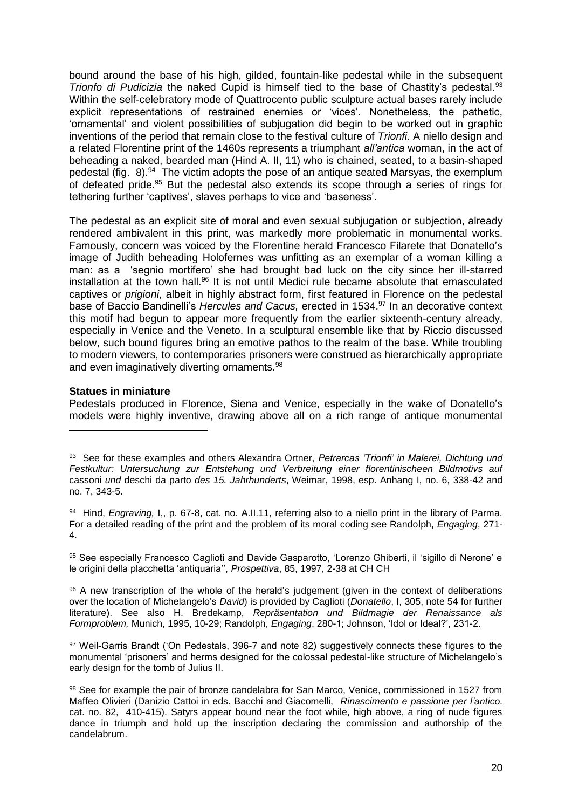bound around the base of his high, gilded, fountain-like pedestal while in the subsequent *Trionfo di Pudicizia* the naked Cupid is himself tied to the base of Chastity's pedestal.<sup>93</sup> Within the self-celebratory mode of Quattrocento public sculpture actual bases rarely include explicit representations of restrained enemies or 'vices'. Nonetheless, the pathetic, 'ornamental' and violent possibilities of subjugation did begin to be worked out in graphic inventions of the period that remain close to the festival culture of *Trionfi*. A niello design and a related Florentine print of the 1460s represents a triumphant *all'antica* woman, in the act of beheading a naked, bearded man (Hind A. II, 11) who is chained, seated, to a basin-shaped pedestal (fig. 8).<sup>94</sup> The victim adopts the pose of an antique seated Marsyas, the exemplum of defeated pride.<sup>95</sup> But the pedestal also extends its scope through a series of rings for tethering further 'captives', slaves perhaps to vice and 'baseness'.

The pedestal as an explicit site of moral and even sexual subjugation or subjection, already rendered ambivalent in this print, was markedly more problematic in monumental works. Famously, concern was voiced by the Florentine herald Francesco Filarete that Donatello's image of Judith beheading Holofernes was unfitting as an exemplar of a woman killing a man: as a 'segnio mortifero' she had brought bad luck on the city since her ill-starred installation at the town hall.<sup>96</sup> It is not until Medici rule became absolute that emasculated captives or *prigioni*, albeit in highly abstract form, first featured in Florence on the pedestal base of Baccio Bandinelli's *Hercules and Cacus,* erected in 1534.<sup>97</sup> In an decorative context this motif had begun to appear more frequently from the earlier sixteenth-century already, especially in Venice and the Veneto. In a sculptural ensemble like that by Riccio discussed below, such bound figures bring an emotive pathos to the realm of the base. While troubling to modern viewers, to contemporaries prisoners were construed as hierarchically appropriate and even imaginatively diverting ornaments.<sup>98</sup>

## **Statues in miniature**

1

Pedestals produced in Florence, Siena and Venice, especially in the wake of Donatello's models were highly inventive, drawing above all on a rich range of antique monumental

95 See especially Francesco Caglioti and Davide Gasparotto, 'Lorenzo Ghiberti, il 'sigillo di Nerone' e le origini della placchetta 'antiquaria'', *Prospettiva*, 85, 1997, 2-38 at CH CH

96 A new transcription of the whole of the herald's judgement (given in the context of deliberations over the location of Michelangelo's *David*) is provided by Caglioti (*Donatello*, I, 305, note 54 for further literature). See also H. Bredekamp, *Repräsentation und Bildmagie der Renaissance als Formproblem,* Munich, 1995, 10-29; Randolph, *Engaging*, 280-1; Johnson, 'Idol or Ideal?', 231-2.

97 Weil-Garris Brandt ('On Pedestals, 396-7 and note 82) suggestively connects these figures to the monumental 'prisoners' and herms designed for the colossal pedestal-like structure of Michelangelo's early design for the tomb of Julius II.

<sup>93</sup> See for these examples and others Alexandra Ortner, *Petrarcas 'Trionfi' in Malerei, Dichtung und Festkultur: Untersuchung zur Entstehung und Verbreitung einer florentinischeen Bildmotivs auf*  cassoni *und* deschi da parto *des 15. Jahrhunderts*, Weimar, 1998, esp. Anhang I, no. 6, 338-42 and no. 7, 343-5.

<sup>94</sup> Hind, *Engraving,* I,, p. 67-8, cat. no. A.II.11, referring also to a niello print in the library of Parma. For a detailed reading of the print and the problem of its moral coding see Randolph, *Engaging*, 271- 4.

<sup>98</sup> See for example the pair of bronze candelabra for San Marco, Venice, commissioned in 1527 from Maffeo Olivieri (Danizio Cattoi in eds. Bacchi and Giacomelli, *Rinascimento e passione per l'antico.*  cat. no. 82, 410-415). Satyrs appear bound near the foot while, high above, a ring of nude figures dance in triumph and hold up the inscription declaring the commission and authorship of the candelabrum.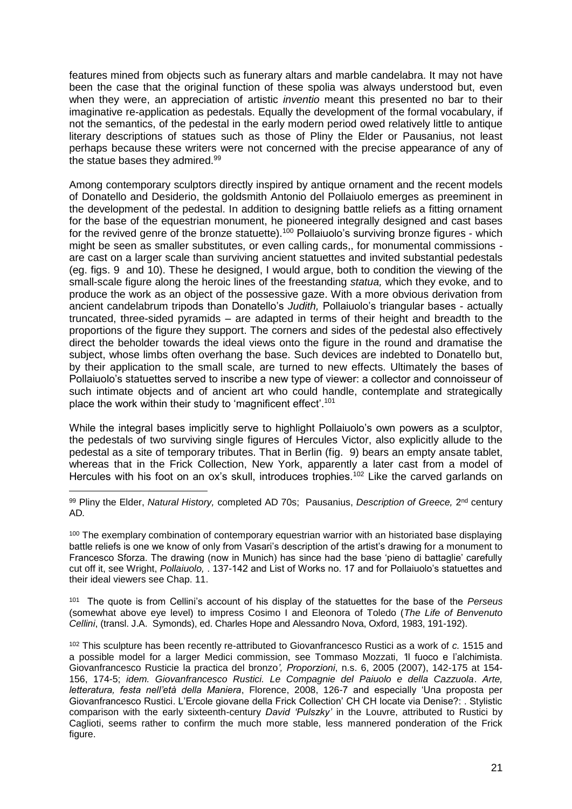features mined from objects such as funerary altars and marble candelabra. It may not have been the case that the original function of these spolia was always understood but, even when they were, an appreciation of artistic *inventio* meant this presented no bar to their imaginative re-application as pedestals. Equally the development of the formal vocabulary, if not the semantics, of the pedestal in the early modern period owed relatively little to antique literary descriptions of statues such as those of Pliny the Elder or Pausanius, not least perhaps because these writers were not concerned with the precise appearance of any of the statue bases they admired.<sup>99</sup>

Among contemporary sculptors directly inspired by antique ornament and the recent models of Donatello and Desiderio, the goldsmith Antonio del Pollaiuolo emerges as preeminent in the development of the pedestal. In addition to designing battle reliefs as a fitting ornament for the base of the equestrian monument, he pioneered integrally designed and cast bases for the revived genre of the bronze statuette).<sup>100</sup> Pollaiuolo's surviving bronze figures - which might be seen as smaller substitutes, or even calling cards,, for monumental commissions are cast on a larger scale than surviving ancient statuettes and invited substantial pedestals (eg. figs. 9 and 10). These he designed, I would argue, both to condition the viewing of the small-scale figure along the heroic lines of the freestanding *statua,* which they evoke, and to produce the work as an object of the possessive gaze. With a more obvious derivation from ancient candelabrum tripods than Donatello's *Judith,* Pollaiuolo's triangular bases - actually truncated, three-sided pyramids – are adapted in terms of their height and breadth to the proportions of the figure they support. The corners and sides of the pedestal also effectively direct the beholder towards the ideal views onto the figure in the round and dramatise the subject, whose limbs often overhang the base. Such devices are indebted to Donatello but, by their application to the small scale, are turned to new effects. Ultimately the bases of Pollaiuolo's statuettes served to inscribe a new type of viewer: a collector and connoisseur of such intimate objects and of ancient art who could handle, contemplate and strategically place the work within their study to 'magnificent effect'.<sup>101</sup>

While the integral bases implicitly serve to highlight Pollaiuolo's own powers as a sculptor, the pedestals of two surviving single figures of Hercules Victor, also explicitly allude to the pedestal as a site of temporary tributes. That in Berlin (fig. 9) bears an empty ansate tablet, whereas that in the Frick Collection, New York, apparently a later cast from a model of Hercules with his foot on an ox's skull, introduces trophies.<sup>102</sup> Like the carved garlands on

101 The quote is from Cellini's account of his display of the statuettes for the base of the *Perseus*  (somewhat above eye level) to impress Cosimo I and Eleonora of Toledo (*The Life of Benvenuto Cellini*, (transl. J.A. Symonds), ed. Charles Hope and Alessandro Nova, Oxford, 1983, 191-192).

<sup>1</sup> <sup>99</sup> Pliny the Elder, *Natural History,* completed AD 70s; Pausanius, *Description of Greece,* 2<sup>nd</sup> century AD*.*

<sup>&</sup>lt;sup>100</sup> The exemplary combination of contemporary equestrian warrior with an historiated base displaying battle reliefs is one we know of only from Vasari's description of the artist's drawing for a monument to Francesco Sforza. The drawing (now in Munich) has since had the base 'pieno di battaglie' carefully cut off it, see Wright, *Pollaiuolo,* . 137-142 and List of Works no. 17 and for Pollaiuolo's statuettes and their ideal viewers see Chap. 11.

<sup>102</sup> This sculpture has been recently re-attributed to Giovanfrancesco Rustici as a work of *c.* 1515 and a possible model for a larger Medici commission, see Tommaso Mozzati, *'*Il fuoco e l'alchimista. Giovanfrancesco Rusticie la practica del bronzo*', Proporzioni*, n.s. 6, 2005 (2007), 142-175 at 154- 156, 174-5; *idem. Giovanfrancesco Rustici. Le Compagnie del Paiuolo e della Cazzuola*. *Arte, letteratura, festa nell'età della Maniera*, Florence, 2008, 126-7 and especially 'Una proposta per Giovanfrancesco Rustici. L'Ercole giovane della Frick Collection' CH CH locate via Denise?: . Stylistic comparison with the early sixteenth-century *David 'Pulszky'* in the Louvre, attributed to Rustici by Caglioti, seems rather to confirm the much more stable, less mannered ponderation of the Frick figure.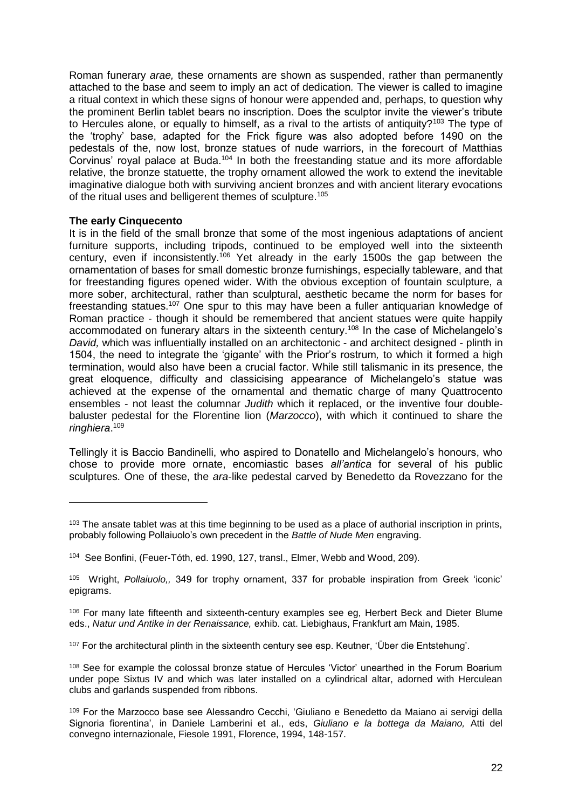Roman funerary *arae,* these ornaments are shown as suspended, rather than permanently attached to the base and seem to imply an act of dedication*.* The viewer is called to imagine a ritual context in which these signs of honour were appended and, perhaps, to question why the prominent Berlin tablet bears no inscription. Does the sculptor invite the viewer's tribute to Hercules alone, or equally to himself, as a rival to the artists of antiquity?<sup>103</sup> The type of the 'trophy' base, adapted for the Frick figure was also adopted before 1490 on the pedestals of the, now lost, bronze statues of nude warriors, in the forecourt of Matthias Corvinus' royal palace at Buda.<sup>104</sup> In both the freestanding statue and its more affordable relative, the bronze statuette, the trophy ornament allowed the work to extend the inevitable imaginative dialogue both with surviving ancient bronzes and with ancient literary evocations of the ritual uses and belligerent themes of sculpture.<sup>105</sup>

## **The early Cinquecento**

<u>.</u>

It is in the field of the small bronze that some of the most ingenious adaptations of ancient furniture supports, including tripods, continued to be employed well into the sixteenth century, even if inconsistently.<sup>106</sup> Yet already in the early 1500s the gap between the ornamentation of bases for small domestic bronze furnishings, especially tableware, and that for freestanding figures opened wider. With the obvious exception of fountain sculpture, a more sober, architectural, rather than sculptural, aesthetic became the norm for bases for freestanding statues.<sup>107</sup> One spur to this may have been a fuller antiquarian knowledge of Roman practice - though it should be remembered that ancient statues were quite happily accommodated on funerary altars in the sixteenth century.<sup>108</sup> In the case of Michelangelo's *David,* which was influentially installed on an architectonic - and architect designed - plinth in 1504, the need to integrate the 'gigante' with the Prior's rostrum*,* to which it formed a high termination, would also have been a crucial factor. While still talismanic in its presence, the great eloquence, difficulty and classicising appearance of Michelangelo's statue was achieved at the expense of the ornamental and thematic charge of many Quattrocento ensembles - not least the columnar *Judith* which it replaced, or the inventive four doublebaluster pedestal for the Florentine lion (*Marzocco*), with which it continued to share the *ringhiera*. 109

Tellingly it is Baccio Bandinelli, who aspired to Donatello and Michelangelo's honours, who chose to provide more ornate, encomiastic bases *all'antica* for several of his public sculptures. One of these, the *ara*-like pedestal carved by Benedetto da Rovezzano for the

<sup>&</sup>lt;sup>103</sup> The ansate tablet was at this time beginning to be used as a place of authorial inscription in prints, probably following Pollaiuolo's own precedent in the *Battle of Nude Men* engraving.

<sup>104</sup> See Bonfini, (Feuer-Tóth, ed. 1990, 127, transl., Elmer, Webb and Wood, 209).

<sup>105</sup> Wright, *Pollaiuolo,,* 349 for trophy ornament, 337 for probable inspiration from Greek 'iconic' epigrams.

<sup>106</sup> For many late fifteenth and sixteenth-century examples see eg, Herbert Beck and Dieter Blume eds., *Natur und Antike in der Renaissance,* exhib. cat. Liebighaus, Frankfurt am Main, 1985.

<sup>107</sup> For the architectural plinth in the sixteenth century see esp. Keutner, 'Über die Entstehung'.

<sup>&</sup>lt;sup>108</sup> See for example the colossal bronze statue of Hercules 'Victor' unearthed in the Forum Boarium under pope Sixtus IV and which was later installed on a cylindrical altar, adorned with Herculean clubs and garlands suspended from ribbons.

<sup>109</sup> For the Marzocco base see Alessandro Cecchi, 'Giuliano e Benedetto da Maiano ai servigi della Signoria fiorentina', in Daniele Lamberini et al., eds, *Giuliano e la bottega da Maiano,* Atti del convegno internazionale, Fiesole 1991, Florence, 1994, 148-157.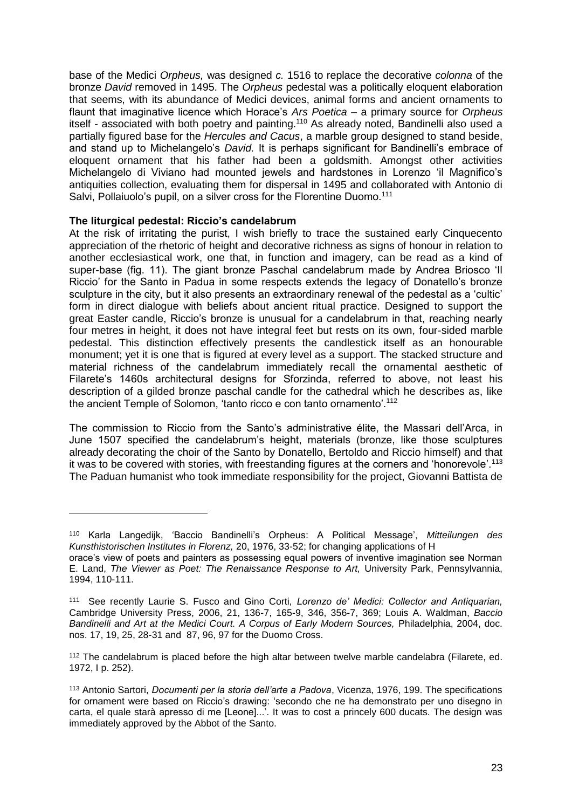base of the Medici *Orpheus,* was designed *c.* 1516 to replace the decorative *colonna* of the bronze *David* removed in 1495. The *Orpheus* pedestal was a politically eloquent elaboration that seems, with its abundance of Medici devices, animal forms and ancient ornaments to flaunt that imaginative licence which Horace's *Ars Poetica* – a primary source for *Orpheus* itself - associated with both poetry and painting.<sup>110</sup> As already noted, Bandinelli also used a partially figured base for the *Hercules and Cacus*, a marble group designed to stand beside, and stand up to Michelangelo's *David.* It is perhaps significant for Bandinelli's embrace of eloquent ornament that his father had been a goldsmith. Amongst other activities Michelangelo di Viviano had mounted jewels and hardstones in Lorenzo 'il Magnifico's antiquities collection, evaluating them for dispersal in 1495 and collaborated with Antonio di Salvi, Pollaiuolo's pupil, on a silver cross for the Florentine Duomo.<sup>111</sup>

## **The liturgical pedestal: Riccio's candelabrum**

1

At the risk of irritating the purist, I wish briefly to trace the sustained early Cinquecento appreciation of the rhetoric of height and decorative richness as signs of honour in relation to another ecclesiastical work, one that, in function and imagery, can be read as a kind of super-base (fig. 11). The giant bronze Paschal candelabrum made by Andrea Briosco 'Il Riccio' for the Santo in Padua in some respects extends the legacy of Donatello's bronze sculpture in the city, but it also presents an extraordinary renewal of the pedestal as a 'cultic' form in direct dialogue with beliefs about ancient ritual practice. Designed to support the great Easter candle, Riccio's bronze is unusual for a candelabrum in that, reaching nearly four metres in height, it does not have integral feet but rests on its own, four-sided marble pedestal. This distinction effectively presents the candlestick itself as an honourable monument; yet it is one that is figured at every level as a support. The stacked structure and material richness of the candelabrum immediately recall the ornamental aesthetic of Filarete's 1460s architectural designs for Sforzinda, referred to above, not least his description of a gilded bronze paschal candle for the cathedral which he describes as, like the ancient Temple of Solomon, 'tanto ricco e con tanto ornamento'.<sup>112</sup>

The commission to Riccio from the Santo's administrative élite, the Massari dell'Arca, in June 1507 specified the candelabrum's height, materials (bronze, like those sculptures already decorating the choir of the Santo by Donatello, Bertoldo and Riccio himself) and that it was to be covered with stories, with freestanding figures at the corners and 'honorevole'.<sup>113</sup> The Paduan humanist who took immediate responsibility for the project, Giovanni Battista de

<sup>110</sup> Karla Langedijk, 'Baccio Bandinelli's Orpheus: A Political Message', *Mitteilungen des Kunsthistorischen Institutes in Florenz,* 20, 1976, 33-52; for changing applications of H orace's view of poets and painters as possessing equal powers of inventive imagination see Norman

E. Land, *The Viewer as Poet: The Renaissance Response to Art,* University Park, Pennsylvannia, 1994, 110-111.

<sup>111</sup> See recently Laurie S. Fusco and Gino Corti, *Lorenzo de' Medici: Collector and Antiquarian,*  Cambridge University Press, 2006, 21, 136-7, 165-9, 346, 356-7, 369; Louis A. Waldman, *Baccio Bandinelli and Art at the Medici Court. A Corpus of Early Modern Sources,* Philadelphia, 2004, doc. nos. 17, 19, 25, 28-31 and 87, 96, 97 for the Duomo Cross.

<sup>&</sup>lt;sup>112</sup> The candelabrum is placed before the high altar between twelve marble candelabra (Filarete, ed. 1972, I p. 252).

<sup>113</sup> Antonio Sartori, *Documenti per la storia dell'arte a Padova*, Vicenza, 1976, 199. The specifications for ornament were based on Riccio's drawing: 'secondo che ne ha demonstrato per uno disegno in carta, el quale starà apresso di me [Leone]...'. It was to cost a princely 600 ducats. The design was immediately approved by the Abbot of the Santo.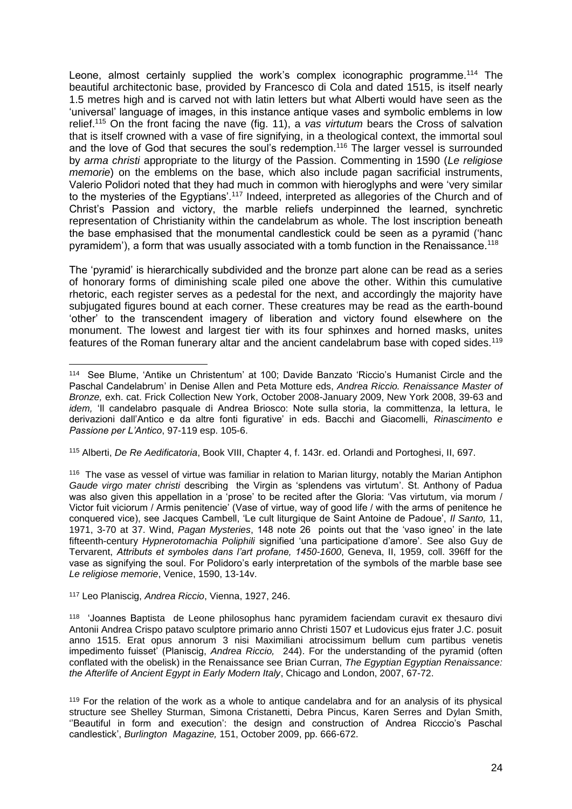Leone, almost certainly supplied the work's complex iconographic programme.<sup>114</sup> The beautiful architectonic base, provided by Francesco di Cola and dated 1515, is itself nearly 1.5 metres high and is carved not with latin letters but what Alberti would have seen as the 'universal' language of images, in this instance antique vases and symbolic emblems in low relief.<sup>115</sup> On the front facing the nave (fig. 11), a *vas virtutum* bears the Cross of salvation that is itself crowned with a vase of fire signifying, in a theological context, the immortal soul and the love of God that secures the soul's redemption.<sup>116</sup> The larger vessel is surrounded by *arma christi* appropriate to the liturgy of the Passion. Commenting in 1590 (*Le religiose memorie*) on the emblems on the base, which also include pagan sacrificial instruments, Valerio Polidori noted that they had much in common with hieroglyphs and were 'very similar to the mysteries of the Egyptians'.<sup>117</sup> Indeed, interpreted as allegories of the Church and of Christ's Passion and victory, the marble reliefs underpinned the learned, synchretic representation of Christianity within the candelabrum as whole. The lost inscription beneath the base emphasised that the monumental candlestick could be seen as a pyramid ('hanc pyramidem'), a form that was usually associated with a tomb function in the Renaissance.<sup>118</sup>

The 'pyramid' is hierarchically subdivided and the bronze part alone can be read as a series of honorary forms of diminishing scale piled one above the other. Within this cumulative rhetoric, each register serves as a pedestal for the next, and accordingly the majority have subjugated figures bound at each corner. These creatures may be read as the earth-bound 'other' to the transcendent imagery of liberation and victory found elsewhere on the monument. The lowest and largest tier with its four sphinxes and horned masks, unites features of the Roman funerary altar and the ancient candelabrum base with coped sides.<sup>119</sup>

<sup>115</sup> Alberti, *De Re Aedificatoria*, Book VIII, Chapter 4, f. 143r. ed. Orlandi and Portoghesi, II, 697.

<sup>117</sup> Leo Planiscig, *Andrea Riccio*, Vienna, 1927, 246.

<sup>114</sup> See Blume, 'Antike un Christentum' at 100; Davide Banzato 'Riccio's Humanist Circle and the Paschal Candelabrum' in Denise Allen and Peta Motture eds, *Andrea Riccio. Renaissance Master of Bronze,* exh. cat. Frick Collection New York, October 2008-January 2009, New York 2008, 39-63 and *idem,* 'Il candelabro pasquale di Andrea Briosco: Note sulla storia, la committenza, la lettura, le derivazioni dall'Antico e da altre fonti figurative' in eds. Bacchi and Giacomelli, *Rinascimento e Passione per L'Antico*, 97-119 esp. 105-6.

<sup>&</sup>lt;sup>116</sup> The vase as vessel of virtue was familiar in relation to Marian liturgy, notably the Marian Antiphon *Gaude virgo mater christi* describing the Virgin as 'splendens vas virtutum'. St. Anthony of Padua was also given this appellation in a 'prose' to be recited after the Gloria: 'Vas virtutum, via morum / Victor fuit viciorum / Armis penitencie' (Vase of virtue, way of good life / with the arms of penitence he conquered vice), see Jacques Cambell, 'Le cult liturgique de Saint Antoine de Padoue', *Il Santo,* 11, 1971, 3-70 at 37. Wind, *Pagan Mysteries*, 148 note 26 points out that the 'vaso igneo' in the late fifteenth-century *Hypnerotomachia Poliphili* signified 'una participatione d'amore'. See also Guy de Tervarent, *Attributs et symboles dans l'art profane, 1450-1600*, Geneva, II, 1959, coll. 396ff for the vase as signifying the soul. For Polidoro's early interpretation of the symbols of the marble base see *Le religiose memorie*, Venice, 1590, 13-14v.

<sup>118</sup> 'Joannes Baptista de Leone philosophus hanc pyramidem faciendam curavit ex thesauro divi Antonii Andrea Crispo patavo sculptore primario anno Christi 1507 et Ludovicus ejus frater J.C. posuit anno 1515. Erat opus annorum 3 nisi Maximiliani atrocissimum bellum cum partibus venetis impedimento fuisset' (Planiscig, *Andrea Riccio,* 244). For the understanding of the pyramid (often conflated with the obelisk) in the Renaissance see Brian Curran, *The Egyptian Egyptian Renaissance: the Afterlife of Ancient Egypt in Early Modern Italy*, Chicago and London, 2007, 67-72.

<sup>&</sup>lt;sup>119</sup> For the relation of the work as a whole to antique candelabra and for an analysis of its physical structure see Shelley Sturman, Simona Cristanetti, Debra Pincus, Karen Serres and Dylan Smith, ''Beautiful in form and execution': the design and construction of Andrea Ricccio's Paschal candlestick', *Burlington Magazine,* 151, October 2009, pp. 666-672.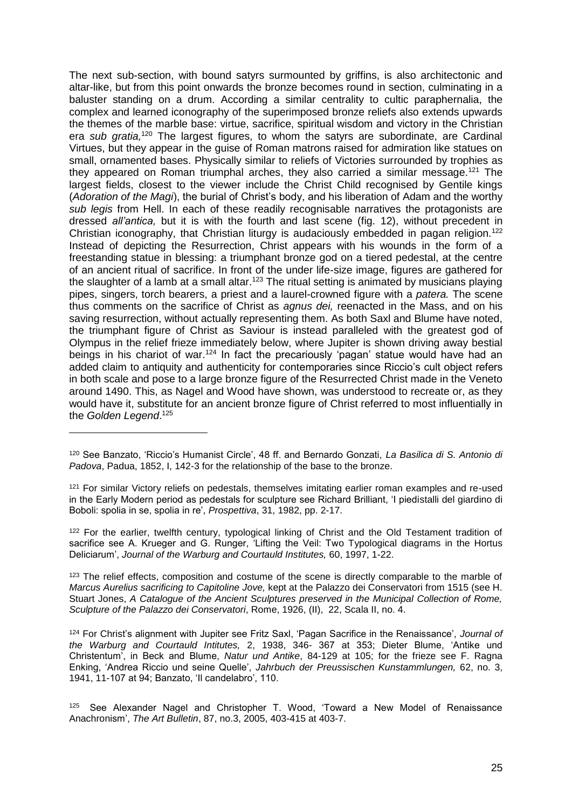The next sub-section, with bound satyrs surmounted by griffins, is also architectonic and altar-like, but from this point onwards the bronze becomes round in section, culminating in a baluster standing on a drum. According a similar centrality to cultic paraphernalia, the complex and learned iconography of the superimposed bronze reliefs also extends upwards the themes of the marble base: virtue, sacrifice, spiritual wisdom and victory in the Christian era *sub gratia,*<sup>120</sup> The largest figures, to whom the satyrs are subordinate, are Cardinal Virtues, but they appear in the guise of Roman matrons raised for admiration like statues on small, ornamented bases. Physically similar to reliefs of Victories surrounded by trophies as they appeared on Roman triumphal arches, they also carried a similar message.<sup>121</sup> The largest fields, closest to the viewer include the Christ Child recognised by Gentile kings (*Adoration of the Magi*), the burial of Christ's body, and his liberation of Adam and the worthy *sub legis* from Hell. In each of these readily recognisable narratives the protagonists are dressed *all'antica,* but it is with the fourth and last scene (fig. 12), without precedent in Christian iconography, that Christian liturgy is audaciously embedded in pagan religion.<sup>122</sup> Instead of depicting the Resurrection, Christ appears with his wounds in the form of a freestanding statue in blessing: a triumphant bronze god on a tiered pedestal, at the centre of an ancient ritual of sacrifice. In front of the under life-size image, figures are gathered for the slaughter of a lamb at a small altar.<sup>123</sup> The ritual setting is animated by musicians playing pipes, singers, torch bearers, a priest and a laurel-crowned figure with a *patera.* The scene thus comments on the sacrifice of Christ as *agnus dei,* reenacted in the Mass, and on his saving resurrection, without actually representing them. As both Saxl and Blume have noted, the triumphant figure of Christ as Saviour is instead paralleled with the greatest god of Olympus in the relief frieze immediately below, where Jupiter is shown driving away bestial beings in his chariot of war.<sup>124</sup> In fact the precariously 'pagan' statue would have had an added claim to antiquity and authenticity for contemporaries since Riccio's cult object refers in both scale and pose to a large bronze figure of the Resurrected Christ made in the Veneto around 1490. This, as Nagel and Wood have shown, was understood to recreate or, as they would have it, substitute for an ancient bronze figure of Christ referred to most influentially in the *Golden Legend*. 125

1

<sup>122</sup> For the earlier, twelfth century, typological linking of Christ and the Old Testament tradition of sacrifice see A. Krueger and G. Runger, 'Lifting the Veil: Two Typological diagrams in the Hortus Deliciarum', *Journal of the Warburg and Courtauld Institutes,* 60, 1997, 1-22.

<sup>123</sup> The relief effects, composition and costume of the scene is directly comparable to the marble of *Marcus Aurelius sacrificing to Capitoline Jove,* kept at the Palazzo dei Conservatori from 1515 (see H. Stuart Jones, *A Catalogue of the Ancient Sculptures preserved in the Municipal Collection of Rome, Sculpture of the Palazzo dei Conservatori*, Rome, 1926, (II), 22, Scala II, no. 4.

<sup>124</sup> For Christ's alignment with Jupiter see Fritz Saxl, 'Pagan Sacrifice in the Renaissance', *Journal of the Warburg and Courtauld Intitutes,* 2, 1938, 346- 367 at 353; Dieter Blume, 'Antike und Christentum', in Beck and Blume, *Natur und Antike*, 84-129 at 105; for the frieze see F. Ragna Enking, 'Andrea Riccio und seine Quelle', *Jahrbuch der Preussischen Kunstammlungen,* 62, no. 3, 1941, 11-107 at 94; Banzato, 'Il candelabro', 110.

 $125$  See Alexander Nagel and Christopher T. Wood, 'Toward a New Model of Renaissance Anachronism', *[The Art Bulletin](http://www.jstor.org/action/showPublication?journalCode=artbulletin)*, 87, no.3, 2005, 403-415 at 403-7.

<sup>120</sup> See Banzato, 'Riccio's Humanist Circle', 48 ff. and Bernardo Gonzati, *La Basilica di S. Antonio di Padova*, Padua, 1852, I, 142-3 for the relationship of the base to the bronze.

<sup>&</sup>lt;sup>121</sup> For similar Victory reliefs on pedestals, themselves imitating earlier roman examples and re-used in the Early Modern period as pedestals for sculpture see Richard Brilliant, 'I piedistalli del giardino di Boboli: spolia in se, spolia in re', *Prospettiva*, 31, 1982, pp. 2-17.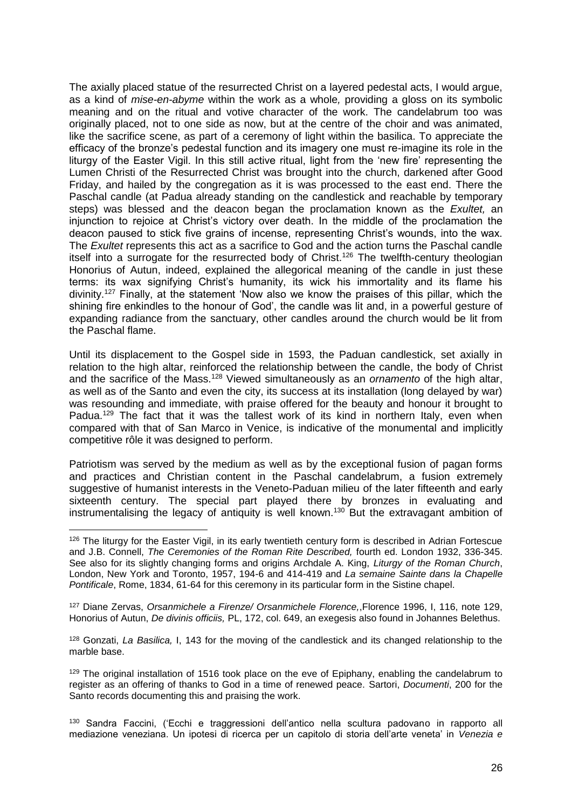The axially placed statue of the resurrected Christ on a layered pedestal acts, I would argue, as a kind of *mise-en-abyme* within the work as a whole*,* providing a gloss on its symbolic meaning and on the ritual and votive character of the work. The candelabrum too was originally placed, not to one side as now, but at the centre of the choir and was animated, like the sacrifice scene, as part of a ceremony of light within the basilica. To appreciate the efficacy of the bronze's pedestal function and its imagery one must re-imagine its role in the liturgy of the Easter Vigil. In this still active ritual, light from the 'new fire' representing the Lumen Christi of the Resurrected Christ was brought into the church, darkened after Good Friday, and hailed by the congregation as it is was processed to the east end. There the Paschal candle (at Padua already standing on the candlestick and reachable by temporary steps) was blessed and the deacon began the proclamation known as the *Exultet,* an injunction to rejoice at Christ's victory over death. In the middle of the proclamation the deacon paused to stick five grains of incense, representing Christ's wounds, into the wax. The *Exultet* represents this act as a sacrifice to God and the action turns the Paschal candle itself into a surrogate for the resurrected body of Christ.<sup>126</sup> The twelfth-century theologian Honorius of Autun, indeed, explained the allegorical meaning of the candle in just these terms: its wax signifying Christ's humanity, its wick his immortality and its flame his divinity.<sup>127</sup> Finally, at the statement 'Now also we know the praises of this pillar, which the shining fire enkindles to the honour of God', the candle was lit and, in a powerful gesture of expanding radiance from the sanctuary, other candles around the church would be lit from the Paschal flame.

Until its displacement to the Gospel side in 1593, the Paduan candlestick, set axially in relation to the high altar, reinforced the relationship between the candle, the body of Christ and the sacrifice of the Mass.<sup>128</sup> Viewed simultaneously as an *ornamento* of the high altar, as well as of the Santo and even the city, its success at its installation (long delayed by war) was resounding and immediate, with praise offered for the beauty and honour it brought to Padua.<sup>129</sup> The fact that it was the tallest work of its kind in northern Italy, even when compared with that of San Marco in Venice, is indicative of the monumental and implicitly competitive rôle it was designed to perform.

Patriotism was served by the medium as well as by the exceptional fusion of pagan forms and practices and Christian content in the Paschal candelabrum, a fusion extremely suggestive of humanist interests in the Veneto-Paduan milieu of the later fifteenth and early sixteenth century. The special part played there by bronzes in evaluating and instrumentalising the legacy of antiquity is well known.<sup>130</sup> But the extravagant ambition of

1

<sup>127</sup> Diane Zervas, *Orsanmichele a Firenze/ Orsanmichele Florence,*,Florence 1996, I, 116, note 129, Honorius of Autun, *De divinis officiis,* PL, 172, col. 649, an exegesis also found in Johannes Belethus.

<sup>128</sup> Gonzati, *La Basilica,* I, 143 for the moving of the candlestick and its changed relationship to the marble base.

<sup>129</sup> The original installation of 1516 took place on the eve of Epiphany, enabling the candelabrum to register as an offering of thanks to God in a time of renewed peace. Sartori, *Documenti*, 200 for the Santo records documenting this and praising the work.

<sup>130</sup> Sandra Faccini, ('Ecchi e traggressioni dell'antico nella scultura padovano in rapporto all mediazione veneziana. Un ipotesi di ricerca per un capitolo di storia dell'arte veneta' in *Venezia e* 

<sup>&</sup>lt;sup>126</sup> The liturgy for the Easter Vigil, in its early twentieth century form is described in Adrian Fortescue and J.B. Connell, *The Ceremonies of the Roman Rite Described,* fourth ed. London 1932, 336-345. See also for its slightly changing forms and origins Archdale A. King, *Liturgy of the Roman Church*, London, New York and Toronto, 1957, 194-6 and 414-419 and *La semaine Sainte dans la Chapelle Pontificale*, Rome, 1834, 61-64 for this ceremony in its particular form in the Sistine chapel.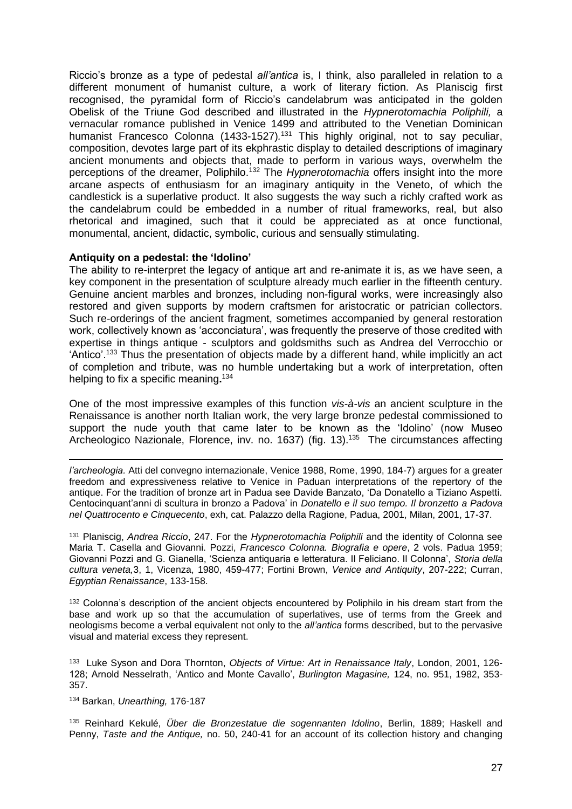Riccio's bronze as a type of pedestal *all'antica* is, I think, also paralleled in relation to a different monument of humanist culture, a work of literary fiction. As Planiscig first recognised, the pyramidal form of Riccio's candelabrum was anticipated in the golden Obelisk of the Triune God described and illustrated in the *Hypnerotomachia Poliphili,* a vernacular romance published in Venice 1499 and attributed to the Venetian Dominican humanist Francesco Colonna (1433-1527)*.* <sup>131</sup> This highly original, not to say peculiar, composition, devotes large part of its ekphrastic display to detailed descriptions of imaginary ancient monuments and objects that, made to perform in various ways, overwhelm the perceptions of the dreamer, Poliphilo.<sup>132</sup> The *Hypnerotomachia* offers insight into the more arcane aspects of enthusiasm for an imaginary antiquity in the Veneto, of which the candlestick is a superlative product. It also suggests the way such a richly crafted work as the candelabrum could be embedded in a number of ritual frameworks, real, but also rhetorical and imagined, such that it could be appreciated as at once functional, monumental, ancient, didactic, symbolic, curious and sensually stimulating.

#### **Antiquity on a pedestal: the 'Idolino'**

The ability to re-interpret the legacy of antique art and re-animate it is, as we have seen, a key component in the presentation of sculpture already much earlier in the fifteenth century. Genuine ancient marbles and bronzes, including non-figural works, were increasingly also restored and given supports by modern craftsmen for aristocratic or patrician collectors. Such re-orderings of the ancient fragment, sometimes accompanied by general restoration work, collectively known as 'acconciatura', was frequently the preserve of those credited with expertise in things antique - sculptors and goldsmiths such as Andrea del Verrocchio or 'Antico'.<sup>133</sup> Thus the presentation of objects made by a different hand, while implicitly an act of completion and tribute, was no humble undertaking but a work of interpretation, often helping to fix a specific meaning**.** 134

One of the most impressive examples of this function *vis-à-vis* an ancient sculpture in the Renaissance is another north Italian work, the very large bronze pedestal commissioned to support the nude youth that came later to be known as the 'Idolino' (now Museo Archeologico Nazionale, Florence, inv. no. 1637) (fig. 13).<sup>135</sup> The circumstances affecting

*l'archeologia.* Atti del convegno internazionale, Venice 1988, Rome, 1990, 184-7) argues for a greater freedom and expressiveness relative to Venice in Paduan interpretations of the repertory of the antique. For the tradition of bronze art in Padua see Davide Banzato, 'Da Donatello a Tiziano Aspetti. Centocinquant'anni di scultura in bronzo a Padova' in *Donatello e il suo tempo. Il bronzetto a Padova nel Quattrocento e Cinquecento*, exh, cat. Palazzo della Ragione, Padua, 2001, Milan, 2001, 17-37.

<sup>131</sup> Planiscig, *Andrea Riccio*, 247. For the *Hypnerotomachia Poliphili* and the identity of Colonna see Maria T. Casella and Giovanni. Pozzi, *Francesco Colonna. Biografia e opere*, 2 vols. Padua 1959; Giovanni Pozzi and G. Gianella, 'Scienza antiquaria e letteratura. Il Feliciano. Il Colonna', *Storia della cultura veneta,*3, 1, Vicenza, 1980, 459-477; Fortini Brown, *Venice and Antiquity*, 207-222; Curran, *Egyptian Renaissance*, 133-158.

<sup>132</sup> Colonna's description of the ancient objects encountered by Poliphilo in his dream start from the base and work up so that the accumulation of superlatives, use of terms from the Greek and neologisms become a verbal equivalent not only to the *all'antica* forms described, but to the pervasive visual and material excess they represent.

133 Luke Syson and Dora Thornton, *Objects of Virtue: Art in Renaissance Italy*, London, 2001, 126- 128; Arnold Nesselrath, 'Antico and Monte Cavallo', *Burlington Magasine,* 124, no. 951, 1982, 353- 357.

<sup>134</sup> Barkan, *Unearthing,* 176-187

1

<sup>135</sup> Reinhard Kekulé, *Über die Bronzestatue die sogennanten Idolino*, Berlin, 1889; Haskell and Penny, *Taste and the Antique,* no. 50, 240-41 for an account of its collection history and changing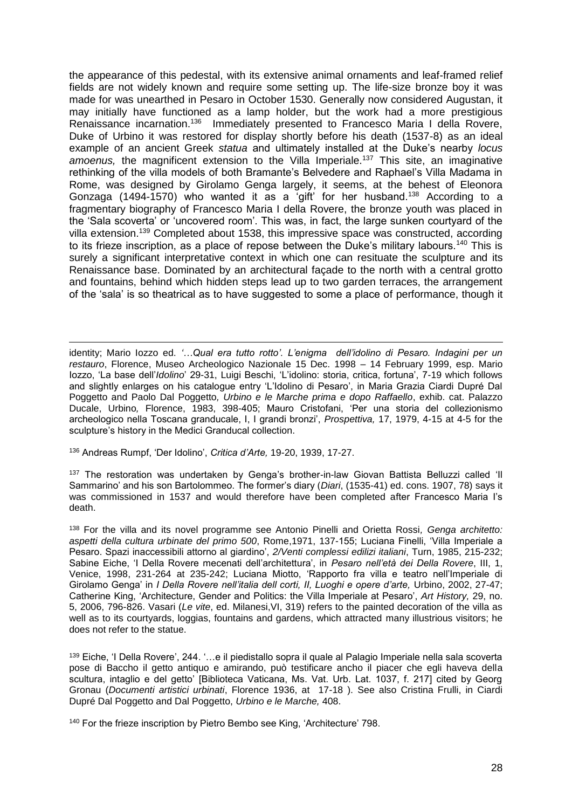the appearance of this pedestal, with its extensive animal ornaments and leaf-framed relief fields are not widely known and require some setting up. The life-size bronze boy it was made for was unearthed in Pesaro in October 1530. Generally now considered Augustan, it may initially have functioned as a lamp holder, but the work had a more prestigious Renaissance incarnation.<sup>136</sup> Immediately presented to Francesco Maria I della Rovere, Duke of Urbino it was restored for display shortly before his death (1537-8) as an ideal example of an ancient Greek *statua* and ultimately installed at the Duke's nearby *locus amoenus,* the magnificent extension to the Villa Imperiale.<sup>137</sup> This site, an imaginative rethinking of the villa models of both Bramante's Belvedere and Raphael's Villa Madama in Rome, was designed by Girolamo Genga largely, it seems, at the behest of Eleonora Gonzaga (1494-1570) who wanted it as a 'gift' for her husband.<sup>138</sup> According to a fragmentary biography of Francesco Maria I della Rovere, the bronze youth was placed in the 'Sala scoverta' or 'uncovered room'. This was, in fact, the large sunken courtyard of the villa extension.<sup>139</sup> Completed about 1538, this impressive space was constructed, according to its frieze inscription, as a place of repose between the Duke's military labours.<sup>140</sup> This is surely a significant interpretative context in which one can resituate the sculpture and its Renaissance base. Dominated by an architectural façade to the north with a central grotto and fountains, behind which hidden steps lead up to two garden terraces, the arrangement of the 'sala' is so theatrical as to have suggested to some a place of performance, though it

identity; Mario Iozzo ed. *'…Qual era tutto rotto'. L'enigma dell'idolino di Pesaro. Indagini per un restauro*, Florence, Museo Archeologico Nazionale 15 Dec. 1998 – 14 February 1999, esp. Mario Iozzo, 'La base dell'*Idolino*' 29-31, Luigi Beschi, 'L'idolino: storia, critica, fortuna', 7-19 which follows and slightly enlarges on his catalogue entry 'L'Idolino di Pesaro', in Maria Grazia Ciardi Dupré Dal Poggetto and Paolo Dal Poggetto*, Urbino e le Marche prima e dopo Raffaello*, exhib. cat. Palazzo Ducale, Urbino*,* Florence, 1983, 398-405; Mauro Cristofani, 'Per una storia del collezionismo archeologico nella Toscana granducale, I, I grandi bronzi', *Prospettiva,* 17, 1979, 4-15 at 4-5 for the sculpture's history in the Medici Granducal collection.

<sup>136</sup> Andreas Rumpf, 'Der Idolino', *Critica d'Arte,* 19-20, 1939, 17-27.

<u>.</u>

<sup>137</sup> The restoration was undertaken by Genga's brother-in-law Giovan Battista Belluzzi called 'Il Sammarino' and his son Bartolommeo. The former's diary (*Diari*, (1535-41) ed. cons. 1907, 78) says it was commissioned in 1537 and would therefore have been completed after Francesco Maria I's death.

<sup>138</sup> For the villa and its novel programme see Antonio Pinelli and Orietta Rossi*, Genga architetto: aspetti della cultura urbinate del primo 500*, Rome,1971, 137-155; Luciana Finelli, 'Villa Imperiale a Pesaro. Spazi inaccessibili attorno al giardino', *2/Venti complessi edilizi italiani*, Turn, 1985, 215-232; Sabine Eiche, 'I Della Rovere mecenati dell'architettura', in *Pesaro nell'età dei Della Rovere*, III, 1, Venice, 1998, 231-264 at 235-242; Luciana Miotto, 'Rapporto fra villa e teatro nell'Imperiale di Girolamo Genga' in *I Della Rovere nell'italia dell corti, II, Luoghi e opere d'arte,* Urbino, 2002, 27-47; Catherine King, 'Architecture, Gender and Politics: the Villa Imperiale at Pesaro', *Art History,* 29, no. 5, 2006, 796-826. Vasari (*Le vite*, ed. Milanesi,VI, 319) refers to the painted decoration of the villa as well as to its courtyards, loggias, fountains and gardens, which attracted many illustrious visitors; he does not refer to the statue.

<sup>139</sup> Eiche, 'I Della Rovere', 244. '…e il piedistallo sopra il quale al Palagio Imperiale nella sala scoverta pose di Baccho il getto antiquo e amirando, può testificare ancho il piacer che egli haveva della scultura, intaglio e del getto' [Biblioteca Vaticana, Ms. Vat. Urb. Lat. 1037, f. 217] cited by Georg Gronau (*Documenti artistici urbinati*, Florence 1936, at 17-18 ). See also Cristina Frulli, in Ciardi Dupré Dal Poggetto and Dal Poggetto, *Urbino e le Marche,* 408.

<sup>140</sup> For the frieze inscription by Pietro Bembo see King, 'Architecture' 798.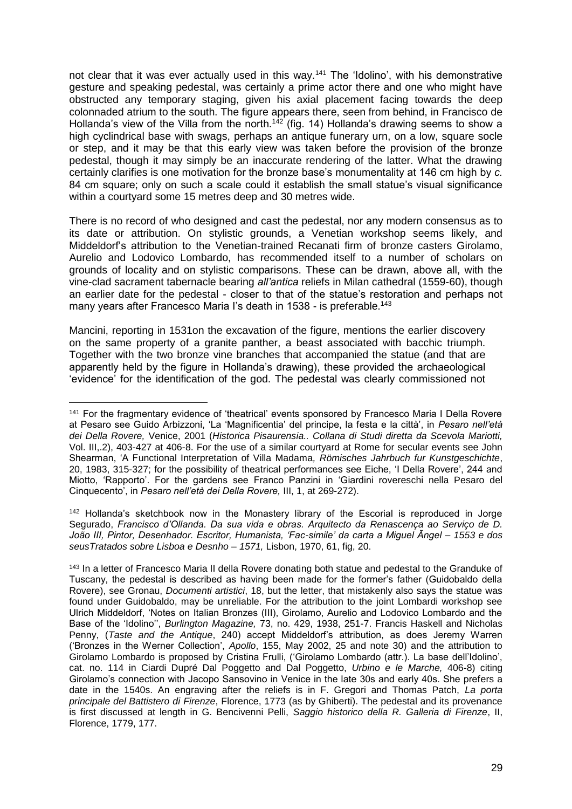not clear that it was ever actually used in this way.<sup>141</sup> The 'Idolino', with his demonstrative gesture and speaking pedestal, was certainly a prime actor there and one who might have obstructed any temporary staging, given his axial placement facing towards the deep colonnaded atrium to the south. The figure appears there, seen from behind, in Francisco de Hollanda's view of the Villa from the north.<sup>142</sup> (fig. 14) Hollanda's drawing seems to show a high cyclindrical base with swags, perhaps an antique funerary urn, on a low, square socle or step, and it may be that this early view was taken before the provision of the bronze pedestal, though it may simply be an inaccurate rendering of the latter. What the drawing certainly clarifies is one motivation for the bronze base's monumentality at 146 cm high by *c.* 84 cm square; only on such a scale could it establish the small statue's visual significance within a courtyard some 15 metres deep and 30 metres wide.

There is no record of who designed and cast the pedestal, nor any modern consensus as to its date or attribution. On stylistic grounds, a Venetian workshop seems likely, and Middeldorf's attribution to the Venetian-trained Recanati firm of bronze casters Girolamo, Aurelio and Lodovico Lombardo, has recommended itself to a number of scholars on grounds of locality and on stylistic comparisons. These can be drawn, above all, with the vine-clad sacrament tabernacle bearing *all'antica* reliefs in Milan cathedral (1559-60), though an earlier date for the pedestal - closer to that of the statue's restoration and perhaps not many years after Francesco Maria I's death in 1538 - is preferable.<sup>143</sup>

Mancini, reporting in 1531on the excavation of the figure, mentions the earlier discovery on the same property of a granite panther, a beast associated with bacchic triumph. Together with the two bronze vine branches that accompanied the statue (and that are apparently held by the figure in Hollanda's drawing), these provided the archaeological 'evidence' for the identification of the god. The pedestal was clearly commissioned not

<sup>142</sup> Hollanda's sketchbook now in the Monastery library of the Escorial is reproduced in Jorge Segurado, *Francisco d'Ollanda. Da sua vida e obras. Arquitecto da Renascença ao Serviço de D. João III, Pintor, Desenhador. Escritor, Humanista, 'Fac-simile' da carta a Miguel Ãngel – 1553 e dos seusTratados sobre Lisboa e Desnho – 1571,* Lisbon, 1970, 61, fig, 20.

<sup>&</sup>lt;u>.</u> <sup>141</sup> For the fragmentary evidence of 'theatrical' events sponsored by Francesco Maria I Della Rovere at Pesaro see Guido Arbizzoni, 'La 'Magnificentia' del principe, la festa e la città', in *Pesaro nell'età dei Della Rovere,* Venice, 2001 (*Historica Pisaurensia.. Collana di Studi diretta da Scevola Mariotti,*  Vol. III,.2), 403-427 at 406-8. For the use of a similar courtyard at Rome for secular events see John Shearman, 'A Functional Interpretation of Villa Madama*, Römisches Jahrbuch fur Kunstgeschichte*, 20, 1983, 315-327; for the possibility of theatrical performances see Eiche, 'I Della Rovere', 244 and Miotto, 'Rapporto'. For the gardens see Franco Panzini in 'Giardini rovereschi nella Pesaro del Cinquecento', in *Pesaro nell'età dei Della Rovere,* III, 1, at 269-272).

<sup>143</sup> In a letter of Francesco Maria II della Rovere donating both statue and pedestal to the Granduke of Tuscany, the pedestal is described as having been made for the former's father (Guidobaldo della Rovere), see Gronau, *Documenti artistici*, 18, but the letter, that mistakenly also says the statue was found under Guidobaldo, may be unreliable. For the attribution to the joint Lombardi workshop see Ulrich Middeldorf, 'Notes on Italian Bronzes (III), Girolamo, Aurelio and Lodovico Lombardo and the Base of the 'Idolino'', *Burlington Magazine,* 73, no. 429, 1938, 251-7. Francis Haskell and Nicholas Penny, (*Taste and the Antique*, 240) accept Middeldorf's attribution, as does Jeremy Warren ('Bronzes in the Werner Collection', *Apollo*, 155, May 2002, 25 and note 30) and the attribution to Girolamo Lombardo is proposed by Cristina Frulli, ('Girolamo Lombardo (attr.). La base dell'Idolino', cat. no. 114 in Ciardi Dupré Dal Poggetto and Dal Poggetto, *Urbino e le Marche,* 406-8) citing Girolamo's connection with Jacopo Sansovino in Venice in the late 30s and early 40s. She prefers a date in the 1540s. An engraving after the reliefs is in F. Gregori and Thomas Patch, *La porta principale del Battistero di Firenze*, Florence, 1773 (as by Ghiberti). The pedestal and its provenance is first discussed at length in G. Bencivenni Pelli, *Saggio historico della R. Galleria di Firenze*, II, Florence, 1779, 177.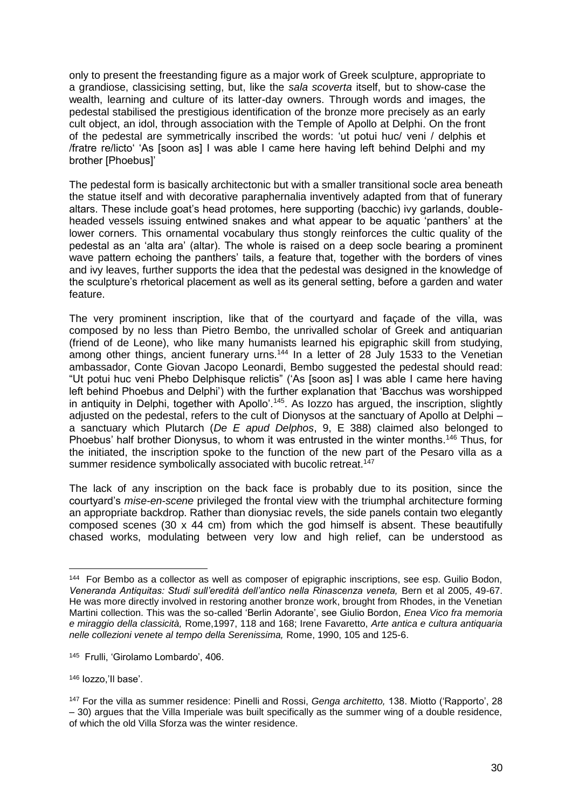only to present the freestanding figure as a major work of Greek sculpture, appropriate to a grandiose, classicising setting, but, like the *sala scoverta* itself, but to show-case the wealth, learning and culture of its latter-day owners. Through words and images, the pedestal stabilised the prestigious identification of the bronze more precisely as an early cult object, an idol, through association with the Temple of Apollo at Delphi. On the front of the pedestal are symmetrically inscribed the words: 'ut potui huc/ veni / delphis et /fratre re/licto' 'As [soon as] I was able I came here having left behind Delphi and my brother [Phoebus]'

The pedestal form is basically architectonic but with a smaller transitional socle area beneath the statue itself and with decorative paraphernalia inventively adapted from that of funerary altars. These include goat's head protomes, here supporting (bacchic) ivy garlands, doubleheaded vessels issuing entwined snakes and what appear to be aquatic 'panthers' at the lower corners. This ornamental vocabulary thus stongly reinforces the cultic quality of the pedestal as an 'alta ara' (altar). The whole is raised on a deep socle bearing a prominent wave pattern echoing the panthers' tails, a feature that, together with the borders of vines and ivy leaves, further supports the idea that the pedestal was designed in the knowledge of the sculpture's rhetorical placement as well as its general setting, before a garden and water feature.

The very prominent inscription, like that of the courtyard and façade of the villa, was composed by no less than Pietro Bembo, the unrivalled scholar of Greek and antiquarian (friend of de Leone), who like many humanists learned his epigraphic skill from studying, among other things, ancient funerary urns.<sup>144</sup> In a letter of 28 July 1533 to the Venetian ambassador, Conte Giovan Jacopo Leonardi, Bembo suggested the pedestal should read: "Ut potui huc veni Phebo Delphisque relictis" ('As [soon as] I was able I came here having left behind Phoebus and Delphi') with the further explanation that 'Bacchus was worshipped in antiquity in Delphi, together with Apollo'.<sup>145</sup>. As lozzo has argued, the inscription, slightly adjusted on the pedestal, refers to the cult of Dionysos at the sanctuary of Apollo at Delphi – a sanctuary which Plutarch (*De E apud Delphos*, 9, E 388) claimed also belonged to Phoebus' half brother Dionysus, to whom it was entrusted in the winter months.<sup>146</sup> Thus, for the initiated, the inscription spoke to the function of the new part of the Pesaro villa as a summer residence symbolically associated with bucolic retreat.<sup>147</sup>

The lack of any inscription on the back face is probably due to its position, since the courtyard's *mise-en-scene* privileged the frontal view with the triumphal architecture forming an appropriate backdrop. Rather than dionysiac revels, the side panels contain two elegantly composed scenes (30 x 44 cm) from which the god himself is absent. These beautifully chased works, modulating between very low and high relief, can be understood as

<u>.</u>

<sup>144</sup> For Bembo as a collector as well as composer of epigraphic inscriptions, see esp. Guilio Bodon, *Veneranda Antiquitas: Studi sull'eredità dell'antico nella Rinascenza veneta,* Bern et al 2005, 49-67. He was more directly involved in restoring another bronze work, brought from Rhodes, in the Venetian Martini collection. This was the so-called 'Berlin Adorante', see Giulio Bordon, *Enea Vico fra memoria e miraggio della classicità,* Rome,1997, 118 and 168; Irene Favaretto, *Arte antica e cultura antiquaria nelle collezioni venete al tempo della Serenissima,* Rome, 1990, 105 and 125-6.

<sup>145</sup> Frulli, 'Girolamo Lombardo', 406.

<sup>146</sup> Iozzo,'Il base'.

<sup>147</sup> For the villa as summer residence: Pinelli and Rossi, *Genga architetto,* 138. Miotto ('Rapporto', 28 – 30) argues that the Villa Imperiale was built specifically as the summer wing of a double residence, of which the old Villa Sforza was the winter residence.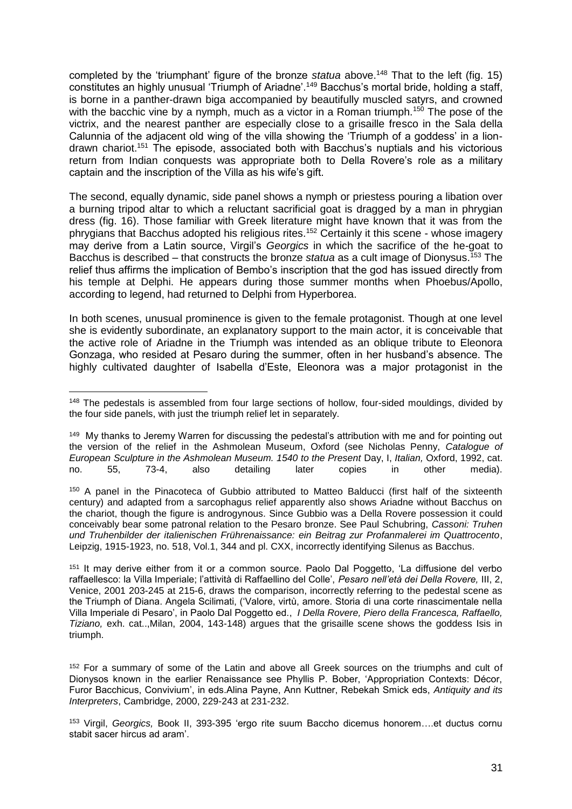completed by the 'triumphant' figure of the bronze *statua* above.<sup>148</sup> That to the left (fig. 15) constitutes an highly unusual 'Triumph of Ariadne'.<sup>149</sup> Bacchus's mortal bride, holding a staff, is borne in a panther-drawn biga accompanied by beautifully muscled satyrs, and crowned with the bacchic vine by a nymph, much as a victor in a Roman triumph.<sup>150</sup> The pose of the victrix, and the nearest panther are especially close to a grisaille fresco in the Sala della Calunnia of the adjacent old wing of the villa showing the 'Triumph of a goddess' in a liondrawn chariot.<sup>151</sup> The episode, associated both with Bacchus's nuptials and his victorious return from Indian conquests was appropriate both to Della Rovere's role as a military captain and the inscription of the Villa as his wife's gift.

The second, equally dynamic, side panel shows a nymph or priestess pouring a libation over a burning tripod altar to which a reluctant sacrificial goat is dragged by a man in phrygian dress (fig. 16). Those familiar with Greek literature might have known that it was from the phrygians that Bacchus adopted his religious rites.<sup>152</sup> Certainly it this scene - whose imagery may derive from a Latin source, Virgil's *Georgics* in which the sacrifice of the he-goat to Bacchus is described – that constructs the bronze *statua* as a cult image of Dionysus.<sup>153</sup> The relief thus affirms the implication of Bembo's inscription that the god has issued directly from his temple at Delphi. He appears during those summer months when Phoebus/Apollo, according to legend, had returned to Delphi from Hyperborea.

In both scenes, unusual prominence is given to the female protagonist. Though at one level she is evidently subordinate, an explanatory support to the main actor, it is conceivable that the active role of Ariadne in the Triumph was intended as an oblique tribute to Eleonora Gonzaga, who resided at Pesaro during the summer, often in her husband's absence. The highly cultivated daughter of Isabella d'Este, Eleonora was a major protagonist in the

<u>.</u>

<sup>&</sup>lt;sup>148</sup> The pedestals is assembled from four large sections of hollow, four-sided mouldings, divided by the four side panels, with just the triumph relief let in separately.

<sup>&</sup>lt;sup>149</sup> My thanks to Jeremy Warren for discussing the pedestal's attribution with me and for pointing out the version of the relief in the Ashmolean Museum, Oxford (see Nicholas Penny, *Catalogue of European Sculpture in the Ashmolean Museum. 1540 to the Present* Day, I, *Italian,* Oxford, 1992, cat. no. 55, 73-4, also detailing later copies in other media).

<sup>150</sup> A panel in the Pinacoteca of Gubbio attributed to Matteo Balducci (first half of the sixteenth century) and adapted from a sarcophagus relief apparently also shows Ariadne without Bacchus on the chariot, though the figure is androgynous. Since Gubbio was a Della Rovere possession it could conceivably bear some patronal relation to the Pesaro bronze. See Paul Schubring, *Cassoni: Truhen und Truhenbilder der italienischen Frührenaissance: ein Beitrag zur Profanmalerei im Quattrocento*, Leipzig, 1915-1923, no. 518, Vol.1, 344 and pl. CXX, incorrectly identifying Silenus as Bacchus.

<sup>151</sup> It may derive either from it or a common source. Paolo Dal Poggetto, 'La diffusione del verbo raffaellesco: la Villa Imperiale; l'attività di Raffaellino del Colle', *Pesaro nell'età dei Della Rovere,* III, 2, Venice, 2001 203-245 at 215-6, draws the comparison, incorrectly referring to the pedestal scene as the Triumph of Diana. Angela Scilimati, ('Valore, virtù, amore. Storia di una corte rinascimentale nella Villa Imperiale di Pesaro', in Paolo Dal Poggetto ed., *I Della Rovere, Piero della Francesca, Raffaello, Tiziano,* exh. cat..,Milan, 2004, 143-148) argues that the grisaille scene shows the goddess Isis in triumph.

<sup>&</sup>lt;sup>152</sup> For a summary of some of the Latin and above all Greek sources on the triumphs and cult of Dionysos known in the earlier Renaissance see Phyllis P. Bober, 'Appropriation Contexts: Décor, Furor Bacchicus, Convivium', in eds.Alina Payne, Ann Kuttner, Rebekah Smick eds, *Antiquity and its Interpreters*, Cambridge, 2000, 229-243 at 231-232.

<sup>153</sup> Virgil, *Georgics,* Book II, 393-395 'ergo rite suum Baccho dicemus honorem….et ductus cornu stabit sacer hircus ad aram'.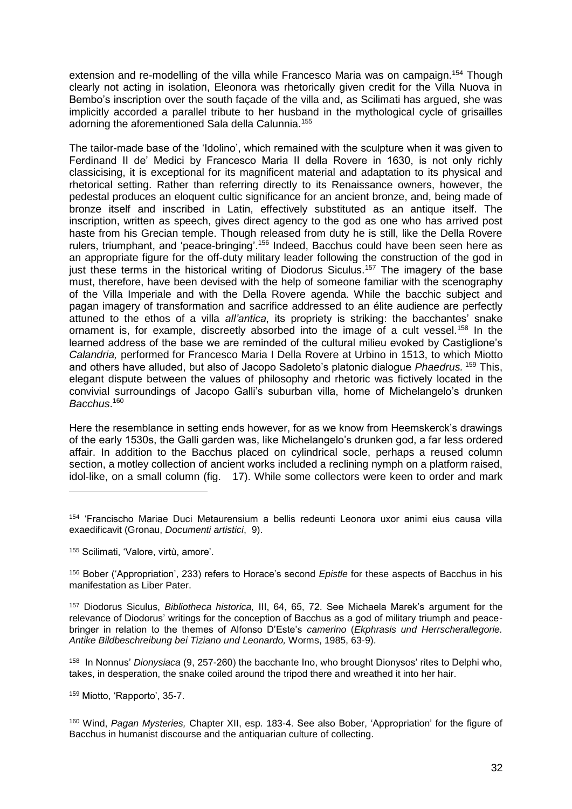extension and re-modelling of the villa while Francesco Maria was on campaign.<sup>154</sup> Though clearly not acting in isolation, Eleonora was rhetorically given credit for the Villa Nuova in Bembo's inscription over the south façade of the villa and, as Scilimati has argued, she was implicitly accorded a parallel tribute to her husband in the mythological cycle of grisailles adorning the aforementioned Sala della Calunnia.<sup>155</sup>

The tailor-made base of the 'Idolino', which remained with the sculpture when it was given to Ferdinand II de' Medici by Francesco Maria II della Rovere in 1630, is not only richly classicising, it is exceptional for its magnificent material and adaptation to its physical and rhetorical setting. Rather than referring directly to its Renaissance owners, however, the pedestal produces an eloquent cultic significance for an ancient bronze, and, being made of bronze itself and inscribed in Latin, effectively substituted as an antique itself. The inscription, written as speech, gives direct agency to the god as one who has arrived post haste from his Grecian temple. Though released from duty he is still, like the Della Rovere rulers, triumphant, and 'peace-bringing'.<sup>156</sup> Indeed, Bacchus could have been seen here as an appropriate figure for the off-duty military leader following the construction of the god in just these terms in the historical writing of Diodorus Siculus.<sup>157</sup> The imagery of the base must, therefore, have been devised with the help of someone familiar with the scenography of the Villa Imperiale and with the Della Rovere agenda. While the bacchic subject and pagan imagery of transformation and sacrifice addressed to an élite audience are perfectly attuned to the ethos of a villa *all'antica*, its propriety is striking: the bacchantes' snake ornament is, for example, discreetly absorbed into the image of a cult vessel.<sup>158</sup> In the learned address of the base we are reminded of the cultural milieu evoked by Castiglione's *Calandria,* performed for Francesco Maria I Della Rovere at Urbino in 1513, to which Miotto and others have alluded, but also of Jacopo Sadoleto's platonic dialogue *Phaedrus.* <sup>159</sup> This, elegant dispute between the values of philosophy and rhetoric was fictively located in the convivial surroundings of Jacopo Galli's suburban villa, home of Michelangelo's drunken *Bacchus*. 160

Here the resemblance in setting ends however, for as we know from Heemskerck's drawings of the early 1530s, the Galli garden was, like Michelangelo's drunken god, a far less ordered affair. In addition to the Bacchus placed on cylindrical socle, perhaps a reused column section, a motley collection of ancient works included a reclining nymph on a platform raised, idol-like, on a small column (fig. 17). While some collectors were keen to order and mark

1

158 In Nonnus' *Dionysiaca* (9, 257-260) the bacchante Ino, who brought Dionysos' rites to Delphi who, takes, in desperation, the snake coiled around the tripod there and wreathed it into her hair.

<sup>159</sup> Miotto, 'Rapporto', 35-7.

<sup>160</sup> Wind, *Pagan Mysteries,* Chapter XII, esp. 183-4. See also Bober, 'Appropriation' for the figure of Bacchus in humanist discourse and the antiquarian culture of collecting.

<sup>154</sup> 'Francischo Mariae Duci Metaurensium a bellis redeunti Leonora uxor animi eius causa villa exaedificavit (Gronau, *Documenti artistici*, 9).

<sup>155</sup> Scilimati, 'Valore, virtù, amore'.

<sup>156</sup> Bober ('Appropriation', 233) refers to Horace's second *Epistle* for these aspects of Bacchus in his manifestation as Liber Pater.

<sup>157</sup> Diodorus Siculus, *Bibliotheca historica,* III, 64, 65, 72. See Michaela Marek's argument for the relevance of Diodorus' writings for the conception of Bacchus as a god of military triumph and peacebringer in relation to the themes of Alfonso D'Este's *camerino* (*Ekphrasis und Herrscherallegorie. Antike Bildbeschreibung bei Tiziano und Leonardo,* Worms, 1985, 63-9).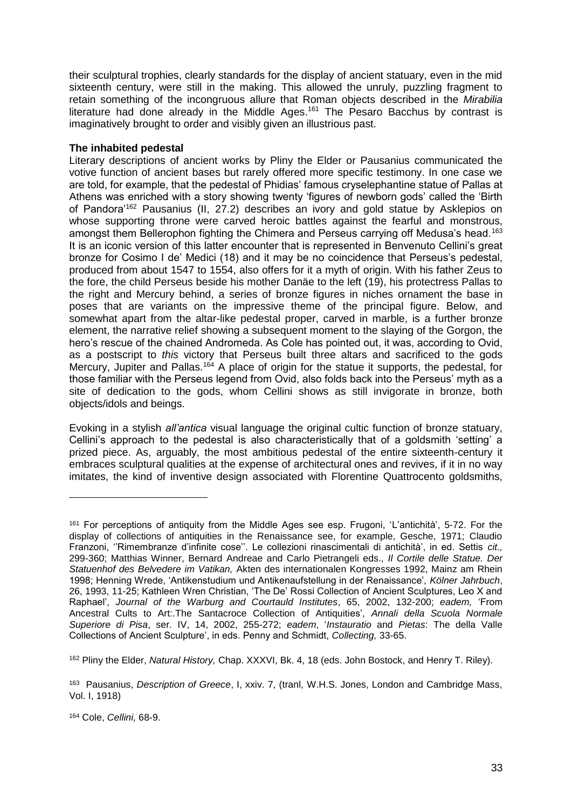their sculptural trophies, clearly standards for the display of ancient statuary, even in the mid sixteenth century, were still in the making. This allowed the unruly, puzzling fragment to retain something of the incongruous allure that Roman objects described in the *Mirabilia*  literature had done already in the Middle Ages.<sup>161</sup> The Pesaro Bacchus by contrast is imaginatively brought to order and visibly given an illustrious past.

# **The inhabited pedestal**

Literary descriptions of ancient works by Pliny the Elder or Pausanius communicated the votive function of ancient bases but rarely offered more specific testimony. In one case we are told, for example, that the pedestal of Phidias' famous cryselephantine statue of Pallas at Athens was enriched with a story showing twenty 'figures of newborn gods' called the 'Birth of Pandora'<sup>162</sup> Pausanius (II, 27.2) describes an ivory and gold statue by Asklepios on whose supporting throne were carved heroic battles against the fearful and monstrous, amongst them Bellerophon fighting the Chimera and Perseus carrying off Medusa's head.<sup>163</sup> It is an iconic version of this latter encounter that is represented in Benvenuto Cellini's great bronze for Cosimo I de' Medici (18) and it may be no coincidence that Perseus's pedestal, produced from about 1547 to 1554, also offers for it a myth of origin. With his father Zeus to the fore, the child Perseus beside his mother Danäe to the left (19), his protectress Pallas to the right and Mercury behind, a series of bronze figures in niches ornament the base in poses that are variants on the impressive theme of the principal figure. Below, and somewhat apart from the altar-like pedestal proper, carved in marble, is a further bronze element, the narrative relief showing a subsequent moment to the slaying of the Gorgon, the hero's rescue of the chained Andromeda. As Cole has pointed out, it was, according to Ovid, as a postscript to *this* victory that Perseus built three altars and sacrificed to the gods Mercury, Jupiter and Pallas.<sup>164</sup> A place of origin for the statue it supports, the pedestal, for those familiar with the Perseus legend from Ovid, also folds back into the Perseus' myth as a site of dedication to the gods, whom Cellini shows as still invigorate in bronze, both objects/idols and beings.

Evoking in a stylish *all'antica* visual language the original cultic function of bronze statuary, Cellini's approach to the pedestal is also characteristically that of a goldsmith 'setting' a prized piece. As, arguably, the most ambitious pedestal of the entire sixteenth-century it embraces sculptural qualities at the expense of architectural ones and revives, if it in no way imitates, the kind of inventive design associated with Florentine Quattrocento goldsmiths,

<sup>162</sup> Pliny the Elder, *Natural History,* Chap. XXXVI, Bk. 4, 18 (eds. John Bostock, and Henry T. Riley).

<sup>161</sup> For perceptions of antiquity from the Middle Ages see esp. Frugoni, 'L'antichità', 5-72. For the display of collections of antiquities in the Renaissance see, for example, Gesche, 1971; Claudio Franzoni, ''Rimembranze d'infinite cose''. Le collezioni rinascimentali di antichità', in ed. Settis *cit.,* 299-360; Matthias Winner, Bernard Andreae and Carlo Pietrangeli eds., *Il Cortile delle Statue. Der Statuenhof des Belvedere im Vatikan,* Akten des internationalen Kongresses 1992, Mainz am Rhein 1998; Henning Wrede, 'Antikenstudium und Antikenaufstellung in der Renaissance', *Kölner Jahrbuch*, 26, 1993, 11-25; Kathleen Wren Christian, 'The De' Rossi Collection of Ancient Sculptures, Leo X and Raphael', *Journal of the Warburg and Courtauld Institutes*, 65, 2002, 132-200; *eadem,* 'From Ancestral Cults to Art:.The Santacroce Collection of Antiquities', *Annali della Scuola Normale Superiore di Pisa*, ser. IV, 14, 2002, 255-272; *eadem*, '*Instauratio* and *Pietas*: The della Valle Collections of Ancient Sculpture', in eds. Penny and Schmidt, *Collecting,* 33-65.

<sup>163</sup> Pausanius, *Description of Greece*, I, xxiv. 7, (tranl, W.H.S. Jones, London and Cambridge Mass, Vol. I, 1918)

<sup>164</sup> Cole, *Cellini,* 68-9.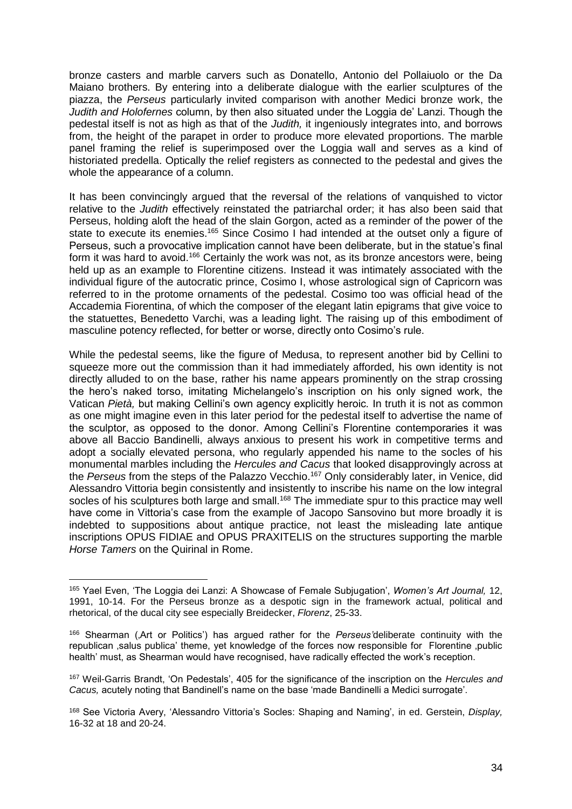bronze casters and marble carvers such as Donatello, Antonio del Pollaiuolo or the Da Maiano brothers. By entering into a deliberate dialogue with the earlier sculptures of the piazza, the *Perseus* particularly invited comparison with another Medici bronze work, the *Judith and Holofernes* column, by then also situated under the Loggia de' Lanzi. Though the pedestal itself is not as high as that of the *Judith,* it ingeniously integrates into, and borrows from, the height of the parapet in order to produce more elevated proportions. The marble panel framing the relief is superimposed over the Loggia wall and serves as a kind of historiated predella. Optically the relief registers as connected to the pedestal and gives the whole the appearance of a column.

It has been convincingly argued that the reversal of the relations of vanquished to victor relative to the *Judith* effectively reinstated the patriarchal order; it has also been said that Perseus, holding aloft the head of the slain Gorgon, acted as a reminder of the power of the state to execute its enemies.<sup>165</sup> Since Cosimo I had intended at the outset only a figure of Perseus, such a provocative implication cannot have been deliberate, but in the statue's final form it was hard to avoid.<sup>166</sup> Certainly the work was not, as its bronze ancestors were, being held up as an example to Florentine citizens. Instead it was intimately associated with the individual figure of the autocratic prince, Cosimo I, whose astrological sign of Capricorn was referred to in the protome ornaments of the pedestal. Cosimo too was official head of the Accademia Fiorentina, of which the composer of the elegant latin epigrams that give voice to the statuettes, Benedetto Varchi, was a leading light. The raising up of this embodiment of masculine potency reflected, for better or worse, directly onto Cosimo's rule.

While the pedestal seems, like the figure of Medusa, to represent another bid by Cellini to squeeze more out the commission than it had immediately afforded, his own identity is not directly alluded to on the base, rather his name appears prominently on the strap crossing the hero's naked torso, imitating Michelangelo's inscription on his only signed work, the Vatican *Pietà,* but making Cellini's own agency explicitly heroic*.* In truth it is not as common as one might imagine even in this later period for the pedestal itself to advertise the name of the sculptor, as opposed to the donor. Among Cellini's Florentine contemporaries it was above all Baccio Bandinelli, always anxious to present his work in competitive terms and adopt a socially elevated persona, who regularly appended his name to the socles of his monumental marbles including the *Hercules and Cacus* that looked disapprovingly across at the *Perseus* from the steps of the Palazzo Vecchio.<sup>167</sup> Only considerably later, in Venice, did Alessandro Vittoria begin consistently and insistently to inscribe his name on the low integral socles of his sculptures both large and small.<sup>168</sup> The immediate spur to this practice may well have come in Vittoria's case from the example of Jacopo Sansovino but more broadly it is indebted to suppositions about antique practice, not least the misleading late antique inscriptions OPUS FIDIAE and OPUS PRAXITELIS on the structures supporting the marble *Horse Tamers* on the Quirinal in Rome.

<sup>165</sup> Yael Even, 'The Loggia dei Lanzi: A Showcase of Female Subjugation', *Women's Art Journal,* 12, 1991, 10-14. For the Perseus bronze as a despotic sign in the framework actual, political and rhetorical, of the ducal city see especially Breidecker, *Florenz*, 25-33.

<sup>166</sup> Shearman ('Art or Politics') has argued rather for the *Perseus'*deliberate continuity with the republican salus publica' theme, yet knowledge of the forces now responsible for Florentine public health' must, as Shearman would have recognised, have radically effected the work's reception.

<sup>167</sup> Weil-Garris Brandt, 'On Pedestals', 405 for the significance of the inscription on the *Hercules and Cacus,* acutely noting that Bandinell's name on the base 'made Bandinelli a Medici surrogate'.

<sup>168</sup> See Victoria Avery, 'Alessandro Vittoria's Socles: Shaping and Naming', in ed. Gerstein, *Display,*  16-32 at 18 and 20-24.